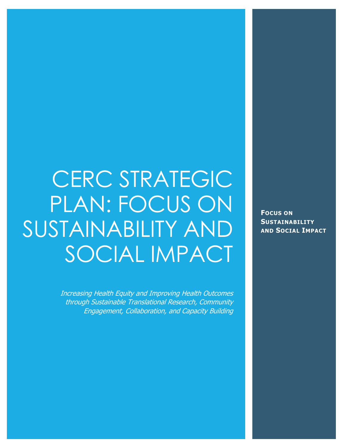# CERC STRATEGIC PLAN: FOCUS ON SUSTAINABILITY AND SOCIAL IMPACT

Increasing Health Equity and Improving Health Outcomes through Sustainable Translational Research, Community Engagement, Collaboration, and Capacity Building

**FOCUS ON SUSTAINABILITY AND SOCIAL IMPACT**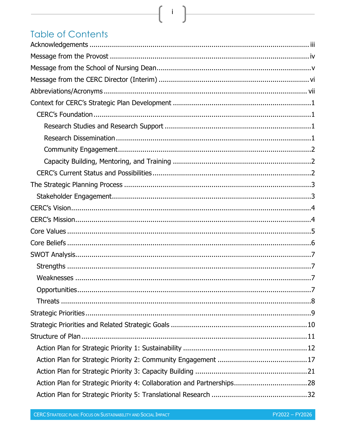# **Table of Contents**

 $\{ \begin{array}{c} i \end{array} \}$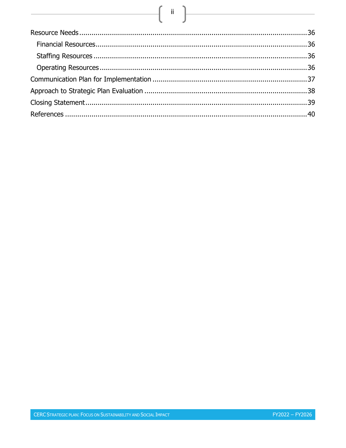# $\begin{picture}(180,10) \put(0,0){\line(1,0){10}} \put(10,0){\line(1,0){10}} \put(10,0){\line(1,0){10}} \put(10,0){\line(1,0){10}} \put(10,0){\line(1,0){10}} \put(10,0){\line(1,0){10}} \put(10,0){\line(1,0){10}} \put(10,0){\line(1,0){10}} \put(10,0){\line(1,0){10}} \put(10,0){\line(1,0){10}} \put(10,0){\line(1,0){10}} \put(10,0){\line($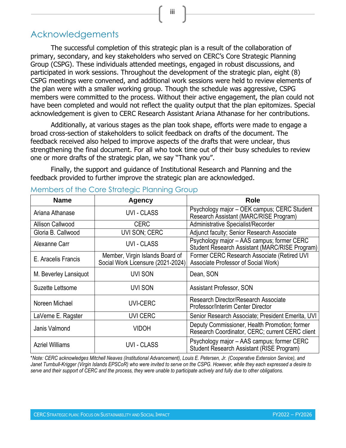iii

# <span id="page-4-0"></span>Acknowledgements

The successful completion of this strategic plan is a result of the collaboration of primary, secondary, and key stakeholders who served on CERC's Core Strategic Planning Group (CSPG). These individuals attended meetings, engaged in robust discussions, and participated in work sessions. Throughout the development of the strategic plan, eight (8) CSPG meetings were convened, and additional work sessions were held to review elements of the plan were with a smaller working group. Though the schedule was aggressive, CSPG members were committed to the process. Without their active engagement, the plan could not have been completed and would not reflect the quality output that the plan epitomizes. Special acknowledgement is given to CERC Research Assistant Ariana Athanase for her contributions.

Additionally, at various stages as the plan took shape, efforts were made to engage a broad cross-section of stakeholders to solicit feedback on drafts of the document. The feedback received also helped to improve aspects of the drafts that were unclear, thus strengthening the final document. For all who took time out of their busy schedules to review one or more drafts of the strategic plan, we say "Thank you".

Finally, the support and guidance of Institutional Research and Planning and the feedback provided to further improve the strategic plan are acknowledged.

| <b>Name</b>             | <b>Agency</b>                                                        | <b>Role</b>                                                                                      |
|-------------------------|----------------------------------------------------------------------|--------------------------------------------------------------------------------------------------|
| Ariana Athanase         | <b>UVI - CLASS</b>                                                   | Psychology major - OEK campus; CERC Student<br>Research Assistant (MARC/RISE Program)            |
| <b>Allison Callwood</b> | <b>CERC</b>                                                          | Administrative Specialist/Recorder                                                               |
| Gloria B. Callwood      | UVI SON; CERC                                                        | Adjunct faculty; Senior Research Associate                                                       |
| Alexanne Carr           | <b>UVI - CLASS</b>                                                   | Psychology major - AAS campus; former CERC<br>Student Research Assistant (MARC/RISE Program)     |
| E. Aracelis Francis     | Member, Virgin Islands Board of<br>Social Work Licensure (2021-2024) | Former CERC Research Associate (Retired UVI<br>Associate Professor of Social Work)               |
| M. Beverley Lansiquot   | <b>UVI SON</b>                                                       | Dean, SON                                                                                        |
| Suzette Lettsome        | UVI SON                                                              | <b>Assistant Professor, SON</b>                                                                  |
| Noreen Michael          | <b>UVI-CERC</b>                                                      | Research Director/Research Associate<br>Professor/Interim Center Director                        |
| LaVerne E. Ragster      | <b>UVI CERC</b>                                                      | Senior Research Associate; President Emerita, UVI                                                |
| Janis Valmond           | <b>VIDOH</b>                                                         | Deputy Commissioner, Health Promotion; former<br>Research Coordinator, CERC; current CERC client |
| <b>Azriel Williams</b>  | <b>UVI - CLASS</b>                                                   | Psychology major - AAS campus; former CERC<br>Student Research Assistant (RISE Program)          |

#### Members of the Core Strategic Planning Group

\**Note: CERC acknowledges Mitchell Neaves (Institutional Advancement), Louis E. Petersen, Jr. (Cooperative Extension Service), and Janet Turnbull-Krigger (Virgin Islands EPSCoR) who were invited to serve on the CSPG. However, while they each expressed a desire to serve and their support of CERC and the process, they were unable to participate actively and fully due to other obligations.*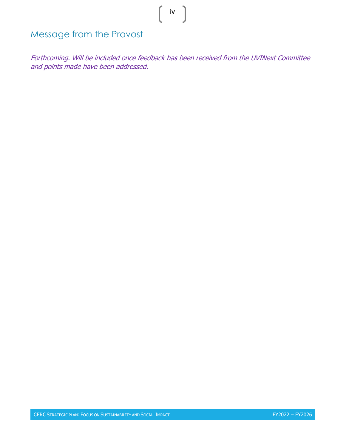<span id="page-5-0"></span>Message from the Provost

Forthcoming. Will be included once feedback has been received from the UVINext Committee and points made have been addressed.

iv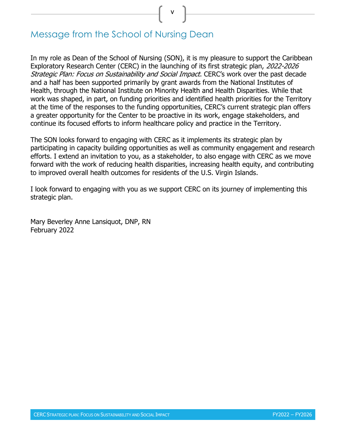v

# <span id="page-6-0"></span>Message from the School of Nursing Dean

In my role as Dean of the School of Nursing (SON), it is my pleasure to support the Caribbean Exploratory Research Center (CERC) in the launching of its first strategic plan, 2022-2026 Strategic Plan: Focus on Sustainability and Social Impact. CERC's work over the past decade and a half has been supported primarily by grant awards from the National Institutes of Health, through the National Institute on Minority Health and Health Disparities. While that work was shaped, in part, on funding priorities and identified health priorities for the Territory at the time of the responses to the funding opportunities, CERC's current strategic plan offers a greater opportunity for the Center to be proactive in its work, engage stakeholders, and continue its focused efforts to inform healthcare policy and practice in the Territory.

The SON looks forward to engaging with CERC as it implements its strategic plan by participating in capacity building opportunities as well as community engagement and research efforts. I extend an invitation to you, as a stakeholder, to also engage with CERC as we move forward with the work of reducing health disparities, increasing health equity, and contributing to improved overall health outcomes for residents of the U.S. Virgin Islands.

I look forward to engaging with you as we support CERC on its journey of implementing this strategic plan.

Mary Beverley Anne Lansiquot, DNP, RN February 2022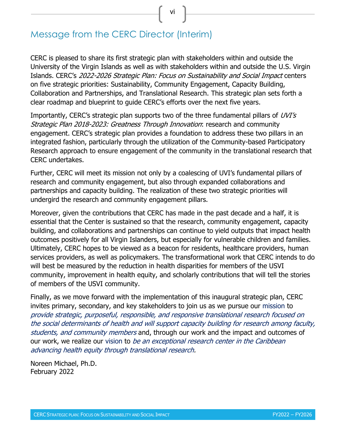vi

# <span id="page-7-0"></span>Message from the CERC Director (Interim)

CERC is pleased to share its first strategic plan with stakeholders within and outside the University of the Virgin Islands as well as with stakeholders within and outside the U.S. Virgin Islands. CERC's 2022-2026 Strategic Plan: Focus on Sustainability and Social Impact centers on five strategic priorities: Sustainability, Community Engagement, Capacity Building, Collaboration and Partnerships, and Translational Research. This strategic plan sets forth a clear roadmap and blueprint to guide CERC's efforts over the next five years.

Importantly, CERC's strategic plan supports two of the three fundamental pillars of UVI's Strategic Plan 2018-2023: Greatness Through Innovation: research and community engagement. CERC's strategic plan provides a foundation to address these two pillars in an integrated fashion, particularly through the utilization of the Community-based Participatory Research approach to ensure engagement of the community in the translational research that CERC undertakes.

Further, CERC will meet its mission not only by a coalescing of UVI's fundamental pillars of research and community engagement, but also through expanded collaborations and partnerships and capacity building. The realization of these two strategic priorities will undergird the research and community engagement pillars.

Moreover, given the contributions that CERC has made in the past decade and a half, it is essential that the Center is sustained so that the research, community engagement, capacity building, and collaborations and partnerships can continue to yield outputs that impact health outcomes positively for all Virgin Islanders, but especially for vulnerable children and families. Ultimately, CERC hopes to be viewed as a beacon for residents, healthcare providers, human services providers, as well as policymakers. The transformational work that CERC intends to do will best be measured by the reduction in health disparities for members of the USVI community, improvement in health equity, and scholarly contributions that will tell the stories of members of the USVI community.

Finally, as we move forward with the implementation of this inaugural strategic plan, CERC invites primary, secondary, and key stakeholders to join us as we pursue our mission to provide strategic, purposeful, responsible, and responsive translational research focused on the social determinants of health and will support capacity building for research among faculty, students, and community members and, through our work and the impact and outcomes of our work, we realize our vision to *be an exceptional research center in the Caribbean* advancing health equity through translational research.

Noreen Michael, Ph.D. February 2022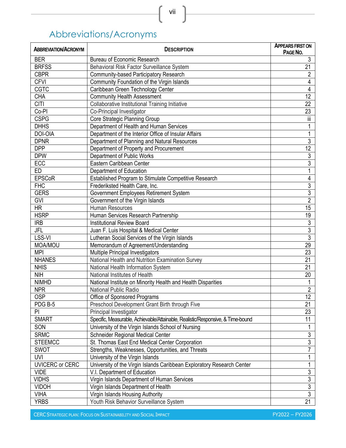# Abbreviations/Acronyms

<span id="page-8-0"></span>

| <b>ABBREVIATION/ACRONYM</b> | <b>DESCRIPTION</b>                                                              | <b>APPEARS FIRST ON</b><br>PAGE NO. |
|-----------------------------|---------------------------------------------------------------------------------|-------------------------------------|
| <b>BER</b>                  | Bureau of Economic Research                                                     | $\mathfrak{Z}$                      |
| <b>BRFSS</b>                | Behavioral Risk Factor Surveillance System                                      | 21                                  |
| <b>CBPR</b>                 | Community-based Participatory Research                                          | $\sqrt{2}$                          |
| <b>CFVI</b>                 | Community Foundation of the Virgin Islands                                      | $\pmb{4}$                           |
| <b>CGTC</b>                 | Caribbean Green Technology Center                                               | $\overline{\mathbf{4}}$             |
| <b>CHA</b>                  | <b>Community Health Assessment</b>                                              | 12                                  |
| <b>CITI</b>                 | <b>Collaborative Institutional Training Initiative</b>                          | 22                                  |
| Co-PI                       | Co-Principal Investigator                                                       | 23                                  |
| <b>CSPG</b>                 | Core Strategic Planning Group                                                   | Ϊİ                                  |
| <b>DHHS</b>                 | Department of Health and Human Services                                         |                                     |
| DOI-OIA                     | Department of the Interior Office of Insular Affairs                            | 1                                   |
| <b>DPNR</b>                 | Department of Planning and Natural Resources                                    | $\overline{3}$                      |
| <b>DPP</b>                  | Department of Property and Procurement                                          | 12                                  |
| <b>DPW</b>                  | Department of Public Works                                                      | $\overline{3}$                      |
| ECC                         | Eastern Caribbean Center                                                        | $\overline{3}$                      |
| <b>ED</b>                   | Department of Education                                                         |                                     |
| <b>EPSCoR</b>               | Established Program to Stimulate Competitive Research                           | 4                                   |
| <b>FHC</b>                  | Frederiksted Health Care, Inc.                                                  | $\overline{3}$                      |
| <b>GERS</b>                 | Government Employees Retirement System                                          | $\overline{3}$                      |
| GVI                         | Government of the Virgin Islands                                                | $\overline{2}$                      |
| <b>HR</b>                   | Human Resources                                                                 | 15                                  |
| <b>HSRP</b>                 | Human Services Research Partnership                                             | 19                                  |
| <b>IRB</b>                  | <b>Institutional Review Board</b>                                               | $\overline{3}$                      |
| <b>JFL</b>                  | Juan F. Luis Hospital & Medical Center                                          | $\overline{3}$                      |
| LSS-VI                      | Lutheran Social Services of the Virgin Islands                                  | $\overline{3}$                      |
| MOA/MOU                     | Memorandum of Agreement/Understanding                                           | 29                                  |
| <b>MPI</b>                  | Multiple Principal Investigators                                                | 23                                  |
| <b>NHANES</b>               | National Health and Nutrition Examination Survey                                | 21                                  |
| <b>NHIS</b>                 | National Health Information System                                              | 21                                  |
| <b>NIH</b>                  | National Institutes of Health                                                   | 20                                  |
| <b>NIMHD</b>                | National Institute on Minority Health and Health Disparities                    |                                     |
| <b>NPR</b>                  | National Public Radio                                                           | $\overline{2}$                      |
| <b>OSP</b>                  | Office of Sponsored Programs                                                    | $\overline{12}$                     |
| PDG B-5                     | Preschool Development Grant Birth through Five                                  | 21                                  |
| PI                          | Principal Investigator                                                          | 23                                  |
| <b>SMART</b>                | Specific, Measurable, Achievable/Attainable, Realistic/Responsive, & Time-bound | 11                                  |
| SON                         | University of the Virgin Islands School of Nursing                              |                                     |
| <b>SRMC</b>                 | <b>Schneider Regional Medical Center</b>                                        | $\overline{3}$                      |
| <b>STEEMCC</b>              | St. Thomas East End Medical Center Corporation                                  | $\overline{3}$                      |
| <b>SWOT</b>                 | Strengths, Weaknesses, Opportunities, and Threats                               |                                     |
| UVI                         | University of the Virgin Islands                                                |                                     |
| UVICERC or CERC             | University of the Virgin Islands Caribbean Exploratory Research Center          |                                     |
| <b>VIDE</b>                 | V.I. Department of Education                                                    | $\mathfrak{Z}$                      |
| <b>VIDHS</b>                | Virgin Islands Department of Human Services                                     | $\overline{3}$                      |
| <b>VIDOH</b>                | Virgin Islands Department of Health                                             | $\overline{3}$                      |
| <b>VIHA</b>                 | Virgin Islands Housing Authority                                                | $\overline{3}$                      |
| <b>YRBS</b>                 | Youth Risk Behavior Surveillance System                                         | 21                                  |

 $\begin{bmatrix} &\mathsf{vii} & \end{bmatrix}$ 

CERC STRATEGIC PLAN: FOCUS ON SUSTAINABILITY AND SOCIAL IMPACT **FYILL AND SOCIAL AND SOCIAL IMPACT**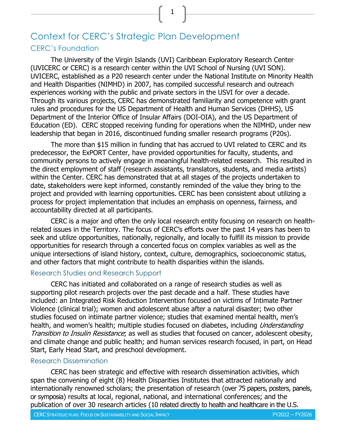# <span id="page-9-1"></span><span id="page-9-0"></span>Context for CERC's Strategic Plan Development CERC's Foundation

The University of the Virgin Islands (UVI) Caribbean Exploratory Research Center (UVICERC or CERC) is a research center within the UVI School of Nursing (UVI SON). UVICERC, established as a P20 research center under the National Institute on Minority Health and Health Disparities (NIMHD) in 2007, has compiled successful research and outreach experiences working with the public and private sectors in the USVI for over a decade. Through its various projects, CERC has demonstrated familiarity and competence with grant rules and procedures for the US Department of Health and Human Services (DHHS), US Department of the Interior Office of Insular Affairs (DOI-OIA), and the US Department of Education (ED). CERC stopped receiving funding for operations when the NIMHD, under new leadership that began in 2016, discontinued funding smaller research programs (P20s).

1

The more than \$15 million in funding that has accrued to UVI related to CERC and its predecessor, the ExPORT Center, have provided opportunities for faculty, students, and community persons to actively engage in meaningful health-related research. This resulted in the direct employment of staff (research assistants, translators, students, and media artists) within the Center. CERC has demonstrated that at all stages of the projects undertaken to date, stakeholders were kept informed, constantly reminded of the value they bring to the project and provided with learning opportunities. CERC has been consistent about utilizing a process for project implementation that includes an emphasis on openness, fairness, and accountability directed at all participants.

CERC is a major and often the only local research entity focusing on research on healthrelated issues in the Territory. The focus of CERC's efforts over the past 14 years has been to seek and utilize opportunities, nationally, regionally, and locally to fulfill its mission to provide opportunities for research through a concerted focus on complex variables as well as the unique intersections of island history, context, culture, demographics, socioeconomic status, and other factors that might contribute to health disparities within the islands.

#### <span id="page-9-2"></span>Research Studies and Research Support

CERC has initiated and collaborated on a range of research studies as well as supporting pilot research projects over the past decade and a half. These studies have included: an Integrated Risk Reduction Intervention focused on victims of Intimate Partner Violence (clinical trial); women and adolescent abuse after a natural disaster; two other studies focused on intimate partner violence; studies that examined mental health, men's health, and women's health; multiple studies focused on diabetes, including *Understanding* Transition to Insulin Resistance; as well as studies that focused on cancer, adolescent obesity, and climate change and public health; and human services research focused, in part, on Head Start, Early Head Start, and preschool development.

#### <span id="page-9-3"></span>Research Dissemination

CERC has been strategic and effective with research dissemination activities, which span the convening of eight (8) Health Disparities Institutes that attracted nationally and internationally renowned scholars; the presentation of research (over 75 papers, posters, panels, or symposia) results at local, regional, national, and international conferences; and the publication of over 30 research articles (10 related directly to health and healthcare in the U.S.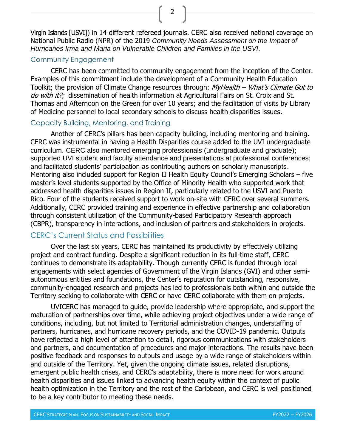Virgin Islands [USVI]) in 14 different refereed journals. CERC also received national coverage on National Public Radio (NPR) of the 2019 *Community Needs Assessment on the Impact of Hurricanes Irma and Maria on Vulnerable Children and Families in the USVI*.

2

#### <span id="page-10-0"></span>Community Engagement

CERC has been committed to community engagement from the inception of the Center. Examples of this commitment include the development of a Community Health Education Toolkit; the provision of Climate Change resources through: MyHealth – What's Climate Got to do with it?; dissemination of health information at Agricultural Fairs on St. Croix and St. Thomas and Afternoon on the Green for over 10 years; and the facilitation of visits by Library of Medicine personnel to local secondary schools to discuss health disparities issues.

#### <span id="page-10-1"></span>Capacity Building, Mentoring, and Training

Another of CERC's pillars has been capacity building, including mentoring and training. CERC was instrumental in having a Health Disparities course added to the UVI undergraduate curriculum. CERC also mentored emerging professionals (undergraduate and graduate); supported UVI student and faculty attendance and presentations at professional conferences; and facilitated students' participation as contributing authors on scholarly manuscripts. Mentoring also included support for Region II Health Equity Council's Emerging Scholars – five master's level students supported by the Office of Minority Health who supported work that addressed health disparities issues in Region II, particularly related to the USVI and Puerto Rico. Four of the students received support to work on-site with CERC over several summers. Additionally, CERC provided training and experience in effective partnership and collaboration through consistent utilization of the Community-based Participatory Research approach (CBPR), transparency in interactions, and inclusion of partners and stakeholders in projects.

## <span id="page-10-2"></span>CERC's Current Status and Possibilities

Over the last six years, CERC has maintained its productivity by effectively utilizing project and contract funding. Despite a significant reduction in its full-time staff, CERC continues to demonstrate its adaptability. Though currently CERC is funded through local engagements with select agencies of Government of the Virgin Islands (GVI) and other semiautonomous entities and foundations, the Center's reputation for outstanding, responsive, community-engaged research and projects has led to professionals both within and outside the Territory seeking to collaborate with CERC or have CERC collaborate with them on projects.

UVICERC has managed to guide, provide leadership where appropriate, and support the maturation of partnerships over time, while achieving project objectives under a wide range of conditions, including, but not limited to Territorial administration changes, understaffing of partners, hurricanes, and hurricane recovery periods, and the COVID-19 pandemic. Outputs have reflected a high level of attention to detail, rigorous communications with stakeholders and partners, and documentation of procedures and major interactions. The results have been positive feedback and responses to outputs and usage by a wide range of stakeholders within and outside of the Territory. Yet, given the ongoing climate issues, related disruptions, emergent public health crises, and CERC's adaptability, there is more need for work around health disparities and issues linked to advancing health equity within the context of public health optimization in the Territory and the rest of the Caribbean, and CERC is well positioned to be a key contributor to meeting these needs.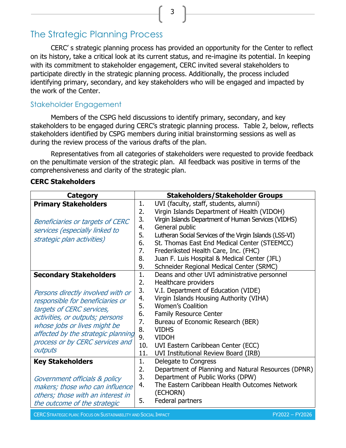# <span id="page-11-0"></span>The Strategic Planning Process

CERC' s strategic planning process has provided an opportunity for the Center to reflect on its history, take a critical look at its current status, and re-imagine its potential. In keeping with its commitment to stakeholder engagement, CERC invited several stakeholders to participate directly in the strategic planning process. Additionally, the process included identifying primary, secondary, and key stakeholders who will be engaged and impacted by the work of the Center.

# <span id="page-11-1"></span>Stakeholder Engagement

Members of the CSPG held discussions to identify primary, secondary, and key stakeholders to be engaged during CERC's strategic planning process. Table 2, below, reflects stakeholders identified by CSPG members during initial brainstorming sessions as well as during the review process of the various drafts of the plan.

Representatives from all categories of stakeholders were requested to provide feedback on the penultimate version of the strategic plan. All feedback was positive in terms of the comprehensiveness and clarity of the strategic plan.

| Category                                                                                                                                                                                                                                                                                   |                                                                  | <b>Stakeholders/Stakeholder Groups</b>                                                                                                                                                                                                                                                                                                                                 |
|--------------------------------------------------------------------------------------------------------------------------------------------------------------------------------------------------------------------------------------------------------------------------------------------|------------------------------------------------------------------|------------------------------------------------------------------------------------------------------------------------------------------------------------------------------------------------------------------------------------------------------------------------------------------------------------------------------------------------------------------------|
| <b>Primary Stakeholders</b>                                                                                                                                                                                                                                                                | 1.<br>2.                                                         | UVI (faculty, staff, students, alumni)<br>Virgin Islands Department of Health (VIDOH)                                                                                                                                                                                                                                                                                  |
| <b>Beneficiaries or targets of CERC</b><br>services (especially linked to<br>strategic plan activities)                                                                                                                                                                                    | 3.<br>4.<br>5.<br>6.<br>7.                                       | Virgin Islands Department of Human Services (VIDHS)<br>General public<br>Lutheran Social Services of the Virgin Islands (LSS-VI)<br>St. Thomas East End Medical Center (STEEMCC)<br>Frederiksted Health Care, Inc. (FHC)                                                                                                                                               |
|                                                                                                                                                                                                                                                                                            | 8.<br>9.                                                         | Juan F. Luis Hospital & Medical Center (JFL)<br>Schneider Regional Medical Center (SRMC)                                                                                                                                                                                                                                                                               |
| <b>Secondary Stakeholders</b><br>Persons directly involved with or<br>responsible for beneficiaries or<br>targets of CERC services,<br>activities, or outputs; persons<br>whose jobs or lives might be<br>affected by the strategic planning<br>process or by CERC services and<br>outputs | 1.<br>2.<br>3.<br>4.<br>5.<br>6.<br>7.<br>8.<br>9.<br>10.<br>11. | Deans and other UVI administrative personnel<br>Healthcare providers<br>V.I. Department of Education (VIDE)<br>Virgin Islands Housing Authority (VIHA)<br><b>Women's Coalition</b><br><b>Family Resource Center</b><br>Bureau of Economic Research (BER)<br><b>VIDHS</b><br><b>VIDOH</b><br>UVI Eastern Caribbean Center (ECC)<br>UVI Institutional Review Board (IRB) |
| <b>Key Stakeholders</b><br>Government officials & policy<br>makers; those who can influence<br>others; those with an interest in<br>the outcome of the strategic                                                                                                                           | 1.<br>2.<br>3.<br>4.<br>5.                                       | Delegate to Congress<br>Department of Planning and Natural Resources (DPNR)<br>Department of Public Works (DPW)<br>The Eastern Caribbean Health Outcomes Network<br>(ECHORN)<br>Federal partners                                                                                                                                                                       |

#### **CERC Stakeholders**

CERC STRATEGIC PLAN: FOCUS ON SUSTAINABILITY AND SOCIAL IMPACT **FRAME CONTROL** FY2022 – FY2026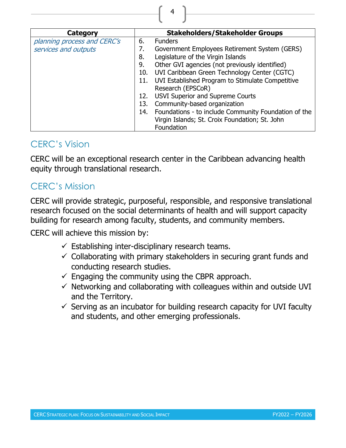| Category                    |     | <b>Stakeholders/Stakeholder Groups</b>               |
|-----------------------------|-----|------------------------------------------------------|
| planning process and CERC's | 6.  | <b>Funders</b>                                       |
| services and outputs        | 7.  | Government Employees Retirement System (GERS)        |
|                             | 8.  | Legislature of the Virgin Islands                    |
|                             | 9.  | Other GVI agencies (not previously identified)       |
|                             | 10. | UVI Caribbean Green Technology Center (CGTC)         |
|                             | 11. | UVI Established Program to Stimulate Competitive     |
|                             |     | Research (EPSCoR)                                    |
|                             | 12. | <b>USVI Superior and Supreme Courts</b>              |
|                             | 13. | Community-based organization                         |
|                             | 14. | Foundations - to include Community Foundation of the |
|                             |     | Virgin Islands; St. Croix Foundation; St. John       |
|                             |     | Foundation                                           |

# <span id="page-12-0"></span>CERC's Vision

CERC will be an exceptional research center in the Caribbean advancing health equity through translational research.

# <span id="page-12-1"></span>CERC's Mission

CERC will provide strategic, purposeful, responsible, and responsive translational research focused on the social determinants of health and will support capacity building for research among faculty, students, and community members.

CERC will achieve this mission by:

- $\checkmark$  Establishing inter-disciplinary research teams.
- $\checkmark$  Collaborating with primary stakeholders in securing grant funds and conducting research studies.
- $\checkmark$  Engaging the community using the CBPR approach.
- $\checkmark$  Networking and collaborating with colleagues within and outside UVI and the Territory.
- $\checkmark$  Serving as an incubator for building research capacity for UVI faculty and students, and other emerging professionals.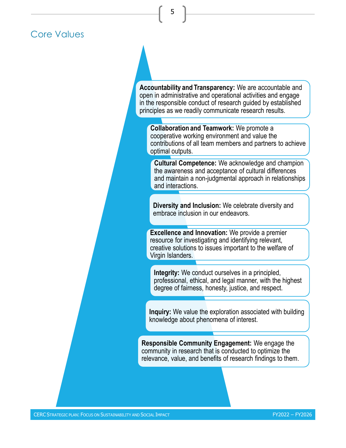# <span id="page-13-0"></span>Core Values

**Accountability and Transparency:** We are accountable and open in administrative and operational activities and engage in the responsible conduct of research guided by established principles as we readily communicate research results.

5

**Collaboration and Teamwork:** We promote a cooperative working environment and value the contributions of all team members and partners to achieve optimal outputs.

**Cultural Competence:** We acknowledge and champion the awareness and acceptance of cultural differences and maintain a non-judgmental approach in relationships and interactions.

**Diversity and Inclusion:** We celebrate diversity and embrace inclusion in our endeavors.

**Excellence and Innovation:** We provide a premier resource for investigating and identifying relevant, creative solutions to issues important to the welfare of Virgin Islanders.

**Integrity:** We conduct ourselves in a principled, professional, ethical, and legal manner, with the highest degree of fairness, honesty, justice, and respect.

**Inquiry:** We value the exploration associated with building knowledge about phenomena of interest.

**Responsible Community Engagement:** We engage the community in research that is conducted to optimize the relevance, value, and benefits of research findings to them.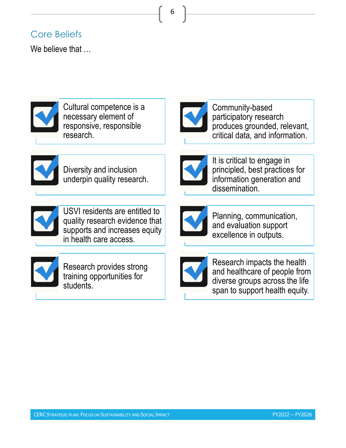# <span id="page-14-0"></span>Core Beliefs

We believe that  $\dots$ 



Cultural competence is a necessary element of responsive, responsible research.



6

Community-based participatory research produces grounded, relevant, critical data, and information.



Diversity and inclusion underpin quality research.



It is critical to engage in principled, best practices for information generation and dissemination.



USVI residents are entitled to quality research evidence that supports and increases equity in health care access.



Planning, communication, and evaluation support excellence in outputs.



Research provides strong training opportunities for students.



Research impacts the health and healthcare of people from diverse groups across the life span to support health equity.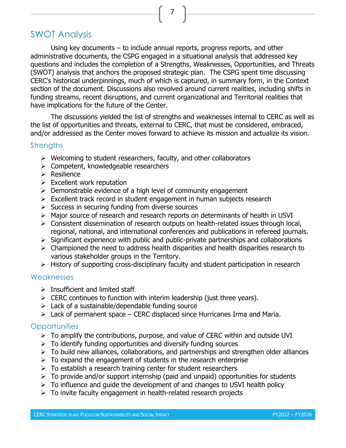# <span id="page-15-0"></span>SWOT Analysis

Using key documents – to include annual reports, progress reports, and other administrative documents, the CSPG engaged in a situational analysis that addressed key questions and includes the completion of a Strengths, Weaknesses, Opportunities, and Threats (SWOT) analysis that anchors the proposed strategic plan. The CSPG spent time discussing CERC's historical underpinnings, much of which is captured, in summary form, in the Context section of the document. Discussions also revolved around current realities, including shifts in funding streams, recent disruptions, and current organizational and Territorial realities that have implications for the future of the Center.

The discussions yielded the list of strengths and weaknesses internal to CERC as well as the list of opportunities and threats, external to CERC, that must be considered, embraced, and/or addressed as the Center moves forward to achieve its mission and actualize its vision.

#### <span id="page-15-1"></span>**Strengths**

- ➢ Welcoming to student researchers, faculty, and other collaborators
- ➢ Competent, knowledgeable researchers
- ➢ Resilience
- $\triangleright$  Excellent work reputation
- ➢ Demonstrable evidence of a high level of community engagement
- $\triangleright$  Excellent track record in student engagement in human subjects research
- $\triangleright$  Success in securing funding from diverse sources
- ➢ Major source of research and research reports on determinants of health in USVI
- ➢ Consistent dissemination of research outputs on health-related issues through local, regional, national, and international conferences and publications in refereed journals.
- ➢ Significant experience with public and public-private partnerships and collaborations
- $\triangleright$  Championed the need to address health disparities and health disparities research to various stakeholder groups in the Territory.
- ➢ History of supporting cross-disciplinary faculty and student participation in research

#### <span id="page-15-2"></span>**Weaknesses**

- $\triangleright$  Insufficient and limited staff
- $\triangleright$  CERC continues to function with interim leadership (just three years).
- $\triangleright$  Lack of a sustainable/dependable funding source
- $\triangleright$  Lack of permanent space CERC displaced since Hurricanes Irma and Maria.

# <span id="page-15-3"></span>**Opportunities**

- $\triangleright$  To amplify the contributions, purpose, and value of CERC within and outside UVI
- $\triangleright$  To identify funding opportunities and diversify funding sources
- $\triangleright$  To build new alliances, collaborations, and partnerships and strengthen older alliances
- $\triangleright$  To expand the engagement of students in the research enterprise
- $\triangleright$  To establish a research training center for student researchers
- $\triangleright$  To provide and/or support internship (paid and unpaid) opportunities for students
- $\triangleright$  To influence and quide the development of and changes to USVI health policy
- $\triangleright$  To invite faculty engagement in health-related research projects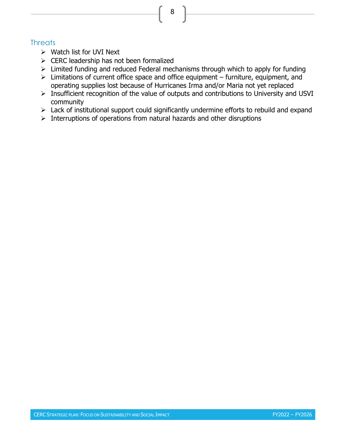# <span id="page-16-0"></span>**Threats**

- ➢ Watch list for UVI Next
- ➢ CERC leadership has not been formalized
- ➢ Limited funding and reduced Federal mechanisms through which to apply for funding
- ➢ Limitations of current office space and office equipment furniture, equipment, and operating supplies lost because of Hurricanes Irma and/or Maria not yet replaced
- ➢ Insufficient recognition of the value of outputs and contributions to University and USVI community
- ➢ Lack of institutional support could significantly undermine efforts to rebuild and expand
- $\triangleright$  Interruptions of operations from natural hazards and other disruptions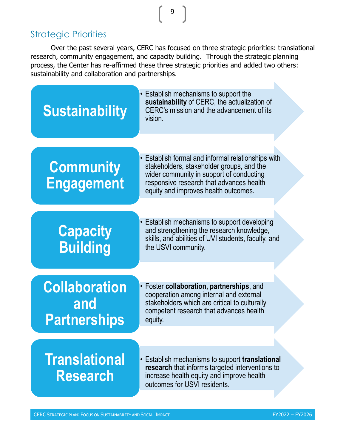# <span id="page-17-0"></span>Strategic Priorities

Over the past several years, CERC has focused on three strategic priorities: translational research, community engagement, and capacity building. Through the strategic planning process, the Center has re-affirmed these three strategic priorities and added two others: sustainability and collaboration and partnerships.

9



CERC STRATEGIC PLAN: FOCUS ON SUSTAINABILITY AND SOCIAL IMPACT **FRAME AND SOCIAL AND SOCIAL IMPACT**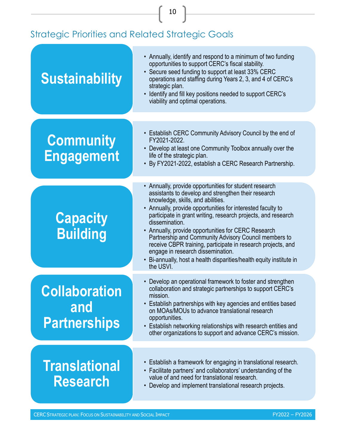# <span id="page-18-0"></span>Strategic Priorities and Related Strategic Goals

| <b>Sustainability</b>                              | • Annually, identify and respond to a minimum of two funding<br>opportunities to support CERC's fiscal stability.<br>• Secure seed funding to support at least 33% CERC<br>operations and staffing during Years 2, 3, and 4 of CERC's<br>strategic plan.<br>• Identify and fill key positions needed to support CERC's<br>viability and optimal operations.                                                                                                                                                                                                                                                   |
|----------------------------------------------------|---------------------------------------------------------------------------------------------------------------------------------------------------------------------------------------------------------------------------------------------------------------------------------------------------------------------------------------------------------------------------------------------------------------------------------------------------------------------------------------------------------------------------------------------------------------------------------------------------------------|
| <b>Community</b><br><b>Engagement</b>              | • Establish CERC Community Advisory Council by the end of<br>FY2021-2022.<br>• Develop at least one Community Toolbox annually over the<br>life of the strategic plan.<br>• By FY2021-2022, establish a CERC Research Partnership.                                                                                                                                                                                                                                                                                                                                                                            |
| <b>Capacity</b><br><b>Building</b>                 | • Annually, provide opportunities for student research<br>assistants to develop and strengthen their research<br>knowledge, skills, and abilities.<br>• Annually, provide opportunities for interested faculty to<br>participate in grant writing, research projects, and research<br>dissemination.<br>• Annually, provide opportunities for CERC Research<br>Partnership and Community Advisory Council members to<br>receive CBPR training, participate in research projects, and<br>engage in research dissemination.<br>• Bi-annually, host a health disparities/health equity institute in<br>the USVI. |
| <b>Collaboration</b><br>and<br><b>Partnerships</b> | • Develop an operational framework to foster and strengthen<br>collaboration and strategic partnerships to support CERC's<br>mission.<br>• Establish partnerships with key agencies and entities based<br>on MOAs/MOUs to advance translational research<br>opportunities.<br>• Establish networking relationships with research entities and<br>other organizations to support and advance CERC's mission.                                                                                                                                                                                                   |
| <b>Translational</b><br><b>Research</b>            | • Establish a framework for engaging in translational research.<br>• Facilitate partners' and collaborators' understanding of the<br>value of and need for translational research.<br>• Develop and implement translational research projects.                                                                                                                                                                                                                                                                                                                                                                |

10

CERC STRATEGIC PLAN: FOCUS ON SUSTAINABILITY AND SOCIAL IMPACT **FYELD AND SOCIAL AND SOCIAL IMPACT**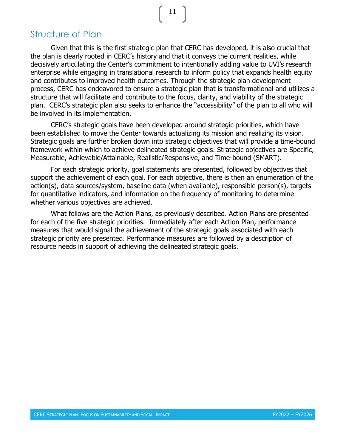# <span id="page-19-0"></span>Structure of Plan

Given that this is the first strategic plan that CERC has developed, it is also crucial that the plan is clearly rooted in CERC's history and that it conveys the current realities, while decisively articulating the Center's commitment to intentionally adding value to UVI's research enterprise while engaging in translational research to inform policy that expands health equity and contributes to improved health outcomes. Through the strategic plan development process, CERC has endeavored to ensure a strategic plan that is transformational and utilizes a structure that will facilitate and contribute to the focus, clarity, and viability of the strategic plan. CERC's strategic plan also seeks to enhance the "accessibility" of the plan to all who will be involved in its implementation.

CERC's strategic goals have been developed around strategic priorities, which have been established to move the Center towards actualizing its mission and realizing its vision. Strategic goals are further broken down into strategic objectives that will provide a time-bound framework within which to achieve delineated strategic goals. Strategic objectives are Specific, Measurable, Achievable/Attainable, Realistic/Responsive, and Time-bound (SMART).

For each strategic priority, goal statements are presented, followed by objectives that support the achievement of each goal. For each objective, there is then an enumeration of the action(s), data sources/system, baseline data (when available), responsible person(s), targets for quantitative indicators, and information on the frequency of monitoring to determine whether various objectives are achieved.

What follows are the Action Plans, as previously described. Action Plans are presented for each of the five strategic priorities. Immediately after each Action Plan, performance measures that would signal the achievement of the strategic goals associated with each strategic priority are presented. Performance measures are followed by a description of resource needs in support of achieving the delineated strategic goals.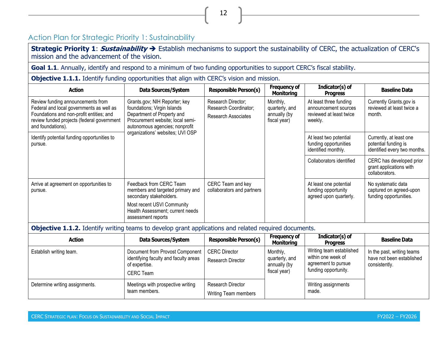# Action Plan for Strategic Priority 1: Sustainability

**Strategic Priority 1**: **Sustainability** ➔ Establish mechanisms to support the sustainability of CERC, the actualization of CERC's mission and the advancement of the vision.

12

Goal 1.1. Annually, identify and respond to a minimum of two funding opportunities to support CERC's fiscal stability.

**Objective 1.1.1.** Identify funding opportunities that align with CERC's vision and mission.

<span id="page-20-0"></span>

| <b>Action</b>                                                                                                                                                                                | Data Sources/System                                                                                                                                                                                  | <b>Responsible Person(s)</b>                    | <b>Frequency of</b><br><b>Monitoring</b>                           | Indicator(s) of<br><b>Progress</b>                                      | <b>Baseline Data</b>                                                                 |                                                                                 |
|----------------------------------------------------------------------------------------------------------------------------------------------------------------------------------------------|------------------------------------------------------------------------------------------------------------------------------------------------------------------------------------------------------|-------------------------------------------------|--------------------------------------------------------------------|-------------------------------------------------------------------------|--------------------------------------------------------------------------------------|---------------------------------------------------------------------------------|
| Review funding announcements from<br>Federal and local governments as well as<br>Foundations and non-profit entities; and<br>review funded projects (federal government<br>and foundations). | Grants.gov; NIH Reporter; key<br>foundations; Virgin Islands<br>Department of Property and<br>Procurement website; local semi-<br>autonomous agencies; nonprofit<br>organizations' websites; UVI OSP |                                                 | Research Director;<br>Research Coordinator;<br>Research Associates | Monthly,<br>quarterly, and<br>annually (by<br>fiscal year)              | At least three funding<br>announcement sources<br>reviewed at least twice<br>weekly. | Currently Grants.gov is<br>reviewed at least twice a<br>month.                  |
| Identify potential funding opportunities to<br>pursue.                                                                                                                                       |                                                                                                                                                                                                      |                                                 |                                                                    |                                                                         | At least two potential<br>funding opportunities<br>identified monthly.               | Currently, at least one<br>potential funding is<br>identified every two months. |
|                                                                                                                                                                                              |                                                                                                                                                                                                      |                                                 |                                                                    | Collaborators identified                                                | CERC has developed prior<br>grant applications with<br>collaborators.                |                                                                                 |
| Arrive at agreement on opportunities to<br>pursue.                                                                                                                                           | Feedback from CERC Team<br>members and targeted primary and<br>secondary stakeholders.                                                                                                               | CERC Team and key<br>collaborators and partners |                                                                    | At least one potential<br>funding opportunity<br>agreed upon quarterly. | No systematic data<br>captured on agreed-upon<br>funding opportunities.              |                                                                                 |
|                                                                                                                                                                                              | Most recent USVI Community<br>Health Assessment; current needs<br>assessment reports                                                                                                                 |                                                 |                                                                    |                                                                         |                                                                                      |                                                                                 |

**Objective 1.1.2.** Identify writing teams to develop grant applications and related required documents.

| <b>Action</b>                  | Data Sources/System                                                                                           | <b>Responsible Person(s)</b>              | <b>Frequency of</b><br><b>Monitoring</b>                   | Indicator(s) of<br><b>Progress</b>                                                            | <b>Baseline Data</b>                                                     |
|--------------------------------|---------------------------------------------------------------------------------------------------------------|-------------------------------------------|------------------------------------------------------------|-----------------------------------------------------------------------------------------------|--------------------------------------------------------------------------|
| Establish writing team.        | Document from Provost Component<br>identifying faculty and faculty areas<br>of expertise.<br><b>CERC</b> Team | <b>CERC Director</b><br>Research Director | Monthly,<br>quarterly, and<br>annually (by<br>fiscal year) | Writing team established<br>within one week of<br>agreement to pursue<br>funding opportunity. | In the past, writing teams<br>have not been established<br>consistently. |
| Determine writing assignments. | Meetings with prospective writing<br>team members.                                                            | Research Director<br>Writing Team members |                                                            | Writing assignments<br>made.                                                                  |                                                                          |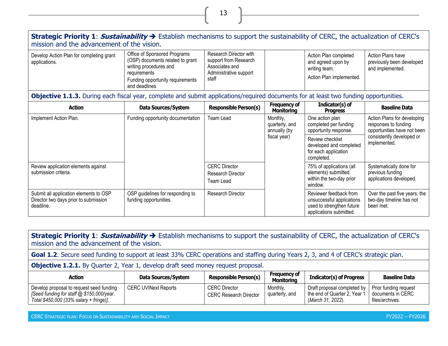#### **Strategic Priority 1**: **Sustainability** ➔ Establish mechanisms to support the sustainability of CERC, the actualization of CERC's mission and the advancement of the vision.

13

| Develop Action Plan for completing grant<br>applications. | Office of Sponsored Programs<br>(OSP) documents related to grant<br>writing procedures and<br>requirements<br>Funding opportunity requirements<br>and deadlines | Research Director with<br>support from Research<br>Associates and<br>Administrative support<br>staff |  | Action Plan completed<br>and agreed upon by<br>writing team.<br>Action Plan implemented. | Action Plans have<br>previously been developed<br>and implemented. |
|-----------------------------------------------------------|-----------------------------------------------------------------------------------------------------------------------------------------------------------------|------------------------------------------------------------------------------------------------------|--|------------------------------------------------------------------------------------------|--------------------------------------------------------------------|
|-----------------------------------------------------------|-----------------------------------------------------------------------------------------------------------------------------------------------------------------|------------------------------------------------------------------------------------------------------|--|------------------------------------------------------------------------------------------|--------------------------------------------------------------------|

**Objective 1.1.3.** During each fiscal year, complete and submit applications/required documents for at least two funding opportunities.

| <b>Action</b>                                                                                | Data Sources/System                                        | <b>Responsible Person(s)</b>                                  | <b>Frequency of</b><br><b>Monitoring</b>                                                                                                                                                                                                                                                  | Indicator(s) of<br><b>Progress</b>                                                                          | <b>Baseline Data</b>                                                   |                                                            |
|----------------------------------------------------------------------------------------------|------------------------------------------------------------|---------------------------------------------------------------|-------------------------------------------------------------------------------------------------------------------------------------------------------------------------------------------------------------------------------------------------------------------------------------------|-------------------------------------------------------------------------------------------------------------|------------------------------------------------------------------------|------------------------------------------------------------|
| Implement Action Plan.                                                                       | Funding opportunity documentation                          | Team Lead                                                     | Monthly,<br>One action plan<br>completed per funding<br>responses to funding<br>quarterly, and<br>opportunity response.<br>annually (by<br>fiscal year)<br>consistently developed or<br>Review checklist<br>implemented.<br>developed and completed<br>for each application<br>completed. |                                                                                                             |                                                                        | Action Plans for developing<br>opportunities have not been |
|                                                                                              |                                                            |                                                               |                                                                                                                                                                                                                                                                                           |                                                                                                             |                                                                        |                                                            |
| Review application elements against<br>submission criteria.                                  |                                                            | <b>CERC</b> Director<br><b>Research Director</b><br>Team Lead |                                                                                                                                                                                                                                                                                           | 75% of applications (all<br>elements) submitted<br>within the two-day prior<br>window.                      | Systematically done for<br>previous funding<br>applications developed. |                                                            |
| Submit all application elements to OSP<br>Director two days prior to submission<br>deadline. | OSP guidelines for responding to<br>funding opportunities. | <b>Research Director</b>                                      |                                                                                                                                                                                                                                                                                           | Reviewer feedback from<br>unsuccessful applications<br>used to strengthen future<br>applications submitted. | Over the past five years, the<br>two-day timeline has not<br>been met. |                                                            |

**Strategic Priority 1**: **Sustainability** ➔ Establish mechanisms to support the sustainability of CERC, the actualization of CERC's mission and the advancement of the vision. Goal 1.2. Secure seed funding to support at least 33% CERC operations and staffing during Years 2, 3, and 4 of CERC's strategic plan. **Objective 1.2.1.** By Quarter 2, Year 1, develop draft seed money request proposal. **Action Data Sources/System Responsible Person(s) Frequency of Indicator(s) of Progress** Baseline Data Develop proposal to request seed funding *[Seed funding for staff @ \$150,000/year. Total \$450,000 (33% salary + fringe)]*. CERC UVINext Reports | CERC Director CERC Research Director Monthly, quarterly, and Draft proposal completed by the end of Quarter 2, Year 1 (*March 31, 2022*). Prior funding request documents in CERC files/archives.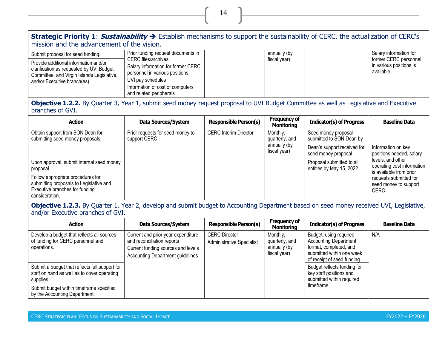### **Strategic Priority 1**: **Sustainability** ➔ Establish mechanisms to support the sustainability of CERC, the actualization of CERC's mission and the advancement of the vision.

14

| Submit proposal for seed funding.                                                                                                                               | Prior funding request documents in                                                                                                                                                     | annually (by | Salary information for                                         |
|-----------------------------------------------------------------------------------------------------------------------------------------------------------------|----------------------------------------------------------------------------------------------------------------------------------------------------------------------------------------|--------------|----------------------------------------------------------------|
| Provide additional information and/or<br>clarification as requested by UVI Budget<br>Committee, and Virgin Islands Legislative,<br>and/or Executive branch(es). | <b>CERC</b> files/archives<br>Salary information for former CERC<br>personnel in various positions<br>UVI pay schedules<br>Information of cost of computers<br>and related peripherals | fiscal year) | former CERC personnel<br>in various positions is<br>available. |

**Objective 1.2.2.** By Quarter 3, Year 1, submit seed money request proposal to UVI Budget Committee as well as Legislative and Executive branches of GVI.

| <b>Action</b>                                                                                                                    | Data Sources/System                              | <b>Responsible Person(s)</b> | <b>Frequency of</b><br>Monitoring                          | <b>Indicator(s) of Progress</b>                        | <b>Baseline Data</b>                                                       |                                                     |                                                 |  |
|----------------------------------------------------------------------------------------------------------------------------------|--------------------------------------------------|------------------------------|------------------------------------------------------------|--------------------------------------------------------|----------------------------------------------------------------------------|-----------------------------------------------------|-------------------------------------------------|--|
| Obtain support from SON Dean for<br>submitting seed money proposals.                                                             | Prior requests for seed money to<br>support CERC | <b>CERC Interim Director</b> | Monthly,<br>quarterly, and<br>annually (by<br>fiscal year) |                                                        |                                                                            |                                                     | Seed money proposal<br>submitted to SON Dean by |  |
|                                                                                                                                  |                                                  |                              |                                                            |                                                        |                                                                            | Dean's support received for<br>seed money proposal. | Information on key<br>positions needed, salary  |  |
| Upon approval, submit internal seed money<br>proposal.                                                                           |                                                  |                              |                                                            | Proposal submitted to all<br>entities by May 15, 2022. | levels, and other<br>operating cost information<br>is available from prior |                                                     |                                                 |  |
| Follow appropriate procedures for<br>submitting proposals to Legislative and<br>Executive branches for funding<br>consideration. |                                                  |                              |                                                            |                                                        | requests submitted for<br>seed money to support<br>CERC.                   |                                                     |                                                 |  |

**Objective 1.2.3.** By Quarter 1, Year 2, develop and submit budget to Accounting Department based on seed money received UVI, Legislative, and/or Executive branches of GVI.

| <b>Action</b>                                                                                              | Data Sources/System                                                                                                                               | <b>Responsible Person(s)</b>                             | <b>Frequency of</b><br><b>Monitoring</b>                   | <b>Indicator(s) of Progress</b>                                                                                                              | <b>Baseline Data</b> |
|------------------------------------------------------------------------------------------------------------|---------------------------------------------------------------------------------------------------------------------------------------------------|----------------------------------------------------------|------------------------------------------------------------|----------------------------------------------------------------------------------------------------------------------------------------------|----------------------|
| Develop a budget that reflects all sources<br>of funding for CERC personnel and<br>operations.             | Current and prior year expenditure<br>and reconciliation reports<br>Current funding sources and levels<br><b>Accounting Department guidelines</b> | <b>CERC Director</b><br><b>Administrative Specialist</b> | Monthly,<br>quarterly, and<br>annually (by<br>fiscal year) | Budget, using required<br><b>Accounting Department</b><br>format, completed, and<br>submitted within one week<br>of receipt of seed funding. | N/A                  |
| Submit a budget that reflects full support for<br>staff on hand as well as to cover operating<br>supplies. |                                                                                                                                                   |                                                          |                                                            | Budget reflects funding for<br>key staff positions and<br>submitted within required                                                          |                      |
| Submit budget within timeframe specified<br>by the Accounting Department.                                  |                                                                                                                                                   |                                                          |                                                            | timeframe.                                                                                                                                   |                      |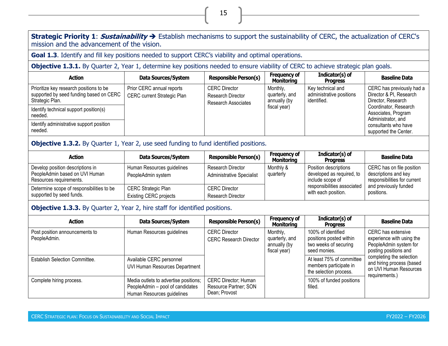**Strategic Priority 1**: **Sustainability** ➔ Establish mechanisms to support the sustainability of CERC, the actualization of CERC's mission and the advancement of the vision.

15

**Goal 1.3**. Identify and fill key positions needed to support CERC's viability and optimal operations.

**Objective 1.3.1.** By Quarter 2, Year 1, determine key positions needed to ensure viability of CERC to achieve strategic plan goals.

| <b>Action</b>                                                                                         | Data Sources/System                                      | <b>Responsible Person(s)</b>                                     | <b>Frequency of</b><br>Monitoring          | Indicator(s) of<br><b>Progress</b>                           | <b>Baseline Data</b>                                                       |
|-------------------------------------------------------------------------------------------------------|----------------------------------------------------------|------------------------------------------------------------------|--------------------------------------------|--------------------------------------------------------------|----------------------------------------------------------------------------|
| Prioritize key research positions to be<br>supported by seed funding based on CERC<br>Strategic Plan. | Prior CERC annual reports<br>CERC current Strategic Plan | <b>CERC</b> Director<br>Research Director<br>Research Associates | Monthly,<br>quarterly, and<br>annually (by | Key technical and<br>administrative positions<br>identified. | CERC has previously had a<br>Director & PI, Research<br>Director, Research |
| Identify technical support position(s)<br>needed.                                                     |                                                          |                                                                  | fiscal year)                               |                                                              | Coordinator, Research<br>Associates, Program<br>Administrator, and         |
| Identify administrative support position<br>needed.                                                   |                                                          |                                                                  |                                            |                                                              | consultants who have<br>supported the Center.                              |

## **Objective 1.3.2.** By Quarter 1, Year 2, use seed funding to fund identified positions.

| <b>Action</b>                                                                                 | Data Sources/System                                         | <b>Responsible Person(s)</b>                          | <b>Frequency of</b><br><b>Monitoring</b> | Indicator(s) of<br><b>Progress</b>                                     | <b>Baseline Data</b>                                                              |
|-----------------------------------------------------------------------------------------------|-------------------------------------------------------------|-------------------------------------------------------|------------------------------------------|------------------------------------------------------------------------|-----------------------------------------------------------------------------------|
| Develop position descriptions in<br>PeopleAdmin based on UVI Human<br>Resources requirements. | Human Resources guidelines<br>PeopleAdmin system            | Research Director<br><b>Administrative Specialist</b> | Monthly &<br>quarterly                   | Position descriptions<br>developed as required, to<br>include scope of | CERC has on file position<br>descriptions and key<br>responsibilities for current |
| Determine scope of responsibilities to be<br>supported by seed funds.                         | <b>CERC Strategic Plan</b><br><b>Existing CERC projects</b> | <b>CERC Director</b><br>Research Director             |                                          | responsibilities associated<br>with each position.                     | and previously funded<br>positions.                                               |

#### **Objective 1.3.3.** By Quarter 2, Year 2, hire staff for identified positions.

| <b>Action</b>                                  | Data Sources/System                                                                                     | <b>Responsible Person(s)</b>                                          | <b>Frequency of</b><br><b>Monitoring</b>                   | Indicator(s) of<br><b>Progress</b>                                                     | <b>Baseline Data</b>                                                                               |
|------------------------------------------------|---------------------------------------------------------------------------------------------------------|-----------------------------------------------------------------------|------------------------------------------------------------|----------------------------------------------------------------------------------------|----------------------------------------------------------------------------------------------------|
| Post position announcements to<br>PeopleAdmin. | Human Resources guidelines                                                                              | <b>CERC Director</b><br><b>CERC Research Director</b>                 | Monthly,<br>quarterly, and<br>annually (by<br>fiscal year) | 100% of identified<br>positions posted within<br>two weeks of securing<br>seed monies. | CERC has extensive<br>experience with using the<br>PeopleAdmin system for<br>posting positions and |
| <b>Establish Selection Committee.</b>          | Available CERC personnel<br>UVI Human Resources Department                                              |                                                                       |                                                            | At least 75% of committee<br>members participate in<br>the selection process.          | completing the selection<br>and hiring process (based<br>on UVI Human Resources<br>requirements.)  |
| Complete hiring process.                       | Media outlets to advertise positions;<br>PeopleAdmin - pool of candidates<br>Human Resources guidelines | <b>CERC Director; Human</b><br>Resource Partner; SON<br>Dean; Provost |                                                            | 100% of funded positions<br>filled.                                                    |                                                                                                    |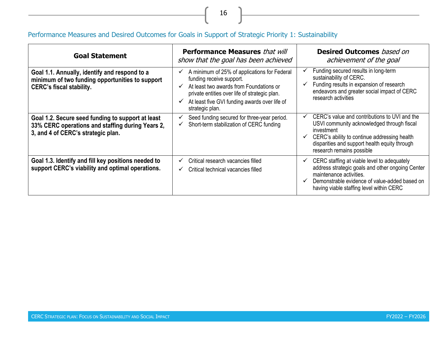# Performance Measures and Desired Outcomes for Goals in Support of Strategic Priority 1: Sustainability

| <b>Goal Statement</b>                                                                                                                       | <b>Performance Measures that will</b><br>show that the goal has been achieved                                                                                                                                                                                                 | <b>Desired Outcomes</b> based on<br>achievement of the goal                                                                                                                                                                                             |
|---------------------------------------------------------------------------------------------------------------------------------------------|-------------------------------------------------------------------------------------------------------------------------------------------------------------------------------------------------------------------------------------------------------------------------------|---------------------------------------------------------------------------------------------------------------------------------------------------------------------------------------------------------------------------------------------------------|
| Goal 1.1. Annually, identify and respond to a<br>minimum of two funding opportunities to support<br><b>CERC's fiscal stability.</b>         | A minimum of 25% of applications for Federal<br>✔<br>funding receive support.<br>At least two awards from Foundations or<br>$\checkmark$<br>private entities over life of strategic plan.<br>At least five GVI funding awards over life of<br>$\checkmark$<br>strategic plan. | Funding secured results in long-term<br>sustainability of CERC.<br>Funding results in expansion of research<br>endeavors and greater social impact of CERC<br>research activities                                                                       |
| Goal 1.2. Secure seed funding to support at least<br>33% CERC operations and staffing during Years 2,<br>3, and 4 of CERC's strategic plan. | Seed funding secured for three-year period.<br>V<br>Short-term stabilization of CERC funding<br>✓                                                                                                                                                                             | CERC's value and contributions to UVI and the<br>USVI community acknowledged through fiscal<br>investment<br>CERC's ability to continue addressing health<br>disparities and support health equity through<br>research remains possible                 |
| Goal 1.3. Identify and fill key positions needed to<br>support CERC's viability and optimal operations.                                     | Critical research vacancies filled<br>$\checkmark$<br>Critical technical vacancies filled<br>✓                                                                                                                                                                                | CERC staffing at viable level to adequately<br>$\checkmark$<br>address strategic goals and other ongoing Center<br>maintenance activities.<br>Demonstrable evidence of value-added based on<br>$\checkmark$<br>having viable staffing level within CERC |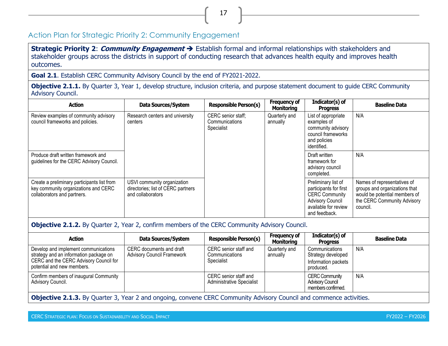# Action Plan for Strategic Priority 2: Community Engagement

**Strategic Priority 2**: **Community Engagement** ➔ Establish formal and informal relationships with stakeholders and stakeholder groups across the districts in support of conducting research that advances health equity and improves health outcomes.

17

**Goal 2.1**. Establish CERC Community Advisory Council by the end of FY2021-2022.

**Objective 2.1.1.** By Quarter 3, Year 1, develop structure, inclusion criteria, and purpose statement document to quide CERC Community Advisory Council.

<span id="page-25-0"></span>

| <b>Action</b>                                                                                                      | Data Sources/System                                                                    | <b>Responsible Person(s)</b>         | <b>Frequency of</b><br><b>Monitoring</b> | Indicator(s) of<br><b>Progress</b>                                                                                                         | <b>Baseline Data</b>                                                                                                                     |                                                                                                               |     |
|--------------------------------------------------------------------------------------------------------------------|----------------------------------------------------------------------------------------|--------------------------------------|------------------------------------------|--------------------------------------------------------------------------------------------------------------------------------------------|------------------------------------------------------------------------------------------------------------------------------------------|---------------------------------------------------------------------------------------------------------------|-----|
| Review examples of community advisory<br>council frameworks and policies.                                          | Research centers and university<br>centers<br>Specialist                               | CERC senior staff;<br>Communications |                                          |                                                                                                                                            | Quarterly and<br>annually                                                                                                                | List of appropriate<br>examples of<br>community advisory<br>council frameworks<br>and policies<br>identified. | N/A |
| Produce draft written framework and<br>guidelines for the CERC Advisory Council.                                   |                                                                                        |                                      |                                          | Draft written<br>framework for<br>advisory council<br>completed.                                                                           | N/A                                                                                                                                      |                                                                                                               |     |
| Create a preliminary participants list from<br>key community organizations and CERC<br>collaborators and partners. | USVI community organization<br>directories; list of CERC partners<br>and collaborators |                                      |                                          | Preliminary list of<br>participants for first<br><b>CERC Community</b><br><b>Advisory Council</b><br>available for review<br>and feedback. | Names of representatives of<br>groups and organizations that<br>would be potential members of<br>the CERC Community Advisory<br>council. |                                                                                                               |     |

#### **Objective 2.1.2.** By Quarter 2, Year 2, confirm members of the CERC Community Advisory Council.

| <b>Action</b>                                                                                                                                          | Data Sources/System                                           | <b>Responsible Person(s)</b>                              | <b>Frequency of</b><br>Monitoring | Indicator(s) of<br><b>Progress</b>                                       | <b>Baseline Data</b> |
|--------------------------------------------------------------------------------------------------------------------------------------------------------|---------------------------------------------------------------|-----------------------------------------------------------|-----------------------------------|--------------------------------------------------------------------------|----------------------|
| Develop and implement communications<br>strategy and an information package on<br>CERC and the CERC Advisory Council for<br>potential and new members. | CERC documents and draft<br><b>Advisory Council Framework</b> | CERC senior staff and<br>Communications<br>Specialist     | Quarterly and<br>annually         | Communications<br>Strategy developed<br>Information packets<br>produced. | N/A                  |
| Confirm members of inaugural Community<br>Advisory Council.                                                                                            |                                                               | CERC senior staff and<br><b>Administrative Specialist</b> |                                   | <b>CERC Community</b><br><b>Advisory Council</b><br>members confirmed.   | N/A                  |

**Objective 2.1.3.** By Quarter 3, Year 2 and ongoing, convene CERC Community Advisory Council and commence activities.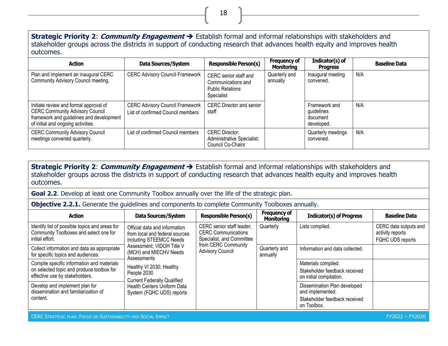#### **Strategic Priority 2**: **Community Engagement** ➔ Establish formal and informal relationships with stakeholders and stakeholder groups across the districts in support of conducting research that advances health equity and improves health outcomes.

18

| <b>Action</b>                                                                                                                                                        | Data Sources/System                                                         | <b>Responsible Person(s)</b>                                                         | <b>Frequency of</b><br><b>Monitoring</b> | Indicator(s) of<br><b>Progress</b>                    | <b>Baseline Data</b> |
|----------------------------------------------------------------------------------------------------------------------------------------------------------------------|-----------------------------------------------------------------------------|--------------------------------------------------------------------------------------|------------------------------------------|-------------------------------------------------------|----------------------|
| Plan and implement an inaugural CERC<br>Community Advisory Council meeting.                                                                                          | <b>CERC Advisory Council Framework</b>                                      | CERC senior staff and<br>Communications and<br><b>Public Relations</b><br>Specialist | Quarterly and<br>annually                | Inaugural meeting<br>convened.                        | N/A                  |
| Initiate review and formal approval of<br><b>CERC Community Advisory Council</b><br>framework and guidelines and development  <br>of initial and ongoing activities. | <b>CERC Advisory Council Framework</b><br>List of confirmed Council members | <b>CERC Director and senior</b><br>staff                                             |                                          | Framework and<br>guidelines<br>document<br>developed. | N/A                  |
| <b>CERC Community Advisory Council</b><br>meetings convened quarterly.                                                                                               | List of confirmed Council members                                           | <b>CERC Director;</b><br>Administrative Specialist;<br>Council Co-Chairs             |                                          | Quarterly meetings<br>convened.                       | N/A                  |

**Strategic Priority 2**: **Community Engagement** ➔ Establish formal and informal relationships with stakeholders and stakeholder groups across the districts in support of conducting research that advances health equity and improves health outcomes.

**Goal 2.2.** Develop at least one Community Toolbox annually over the life of the strategic plan.

**Objective 2.2.1.** Generate the quidelines and components to complete Community Toolboxes annually.

| <b>Action</b>                                                                                                             | Data Sources/System                                                                                                                                                                                                                                                                                                  | <b>Responsible Person(s)</b>                                                                                                           | <b>Frequency of</b><br><b>Monitoring</b> | <b>Indicator(s) of Progress</b>                                                                  | <b>Baseline Data</b>                                          |
|---------------------------------------------------------------------------------------------------------------------------|----------------------------------------------------------------------------------------------------------------------------------------------------------------------------------------------------------------------------------------------------------------------------------------------------------------------|----------------------------------------------------------------------------------------------------------------------------------------|------------------------------------------|--------------------------------------------------------------------------------------------------|---------------------------------------------------------------|
| Identify list of possible topics and areas for<br>Community Toolboxes and select one for<br>initial effort.               | Official data and information<br>from local and federal sources<br>including STEEMCC Needs<br>Assessment; VIDOH Title V<br>(MCH) and MIECHV Needs<br>Assessments<br>Healthy VI 2030; Healthy<br>People 2030<br><b>Current Federally Qualified</b><br><b>Health Centers Uniform Data</b><br>System (FQHC UDS) reports | CERC senior staff leader,<br><b>CERC Communications</b><br>Specialist, and Committee<br>from CERC Community<br><b>Advisory Council</b> | Quarterly                                | Lists compiled.                                                                                  | CERC data outputs and<br>activity reports<br>FQHC UDS reports |
| Collect information and data as appropriate<br>for specific topics and audiences.                                         |                                                                                                                                                                                                                                                                                                                      |                                                                                                                                        | Quarterly and<br>annually                | Information and data collected.                                                                  |                                                               |
| Compile specific information and materials<br>on selected topic and produce toolbox for<br>effective use by stakeholders. |                                                                                                                                                                                                                                                                                                                      |                                                                                                                                        |                                          | Materials compiled.<br>Stakeholder feedback received<br>on initial compilation.                  |                                                               |
| Develop and implement plan for<br>dissemination and familiarization of<br>content.                                        |                                                                                                                                                                                                                                                                                                                      |                                                                                                                                        |                                          | Dissemination Plan developed<br>and implemented.<br>Stakeholder feedback received<br>on Toolbox. |                                                               |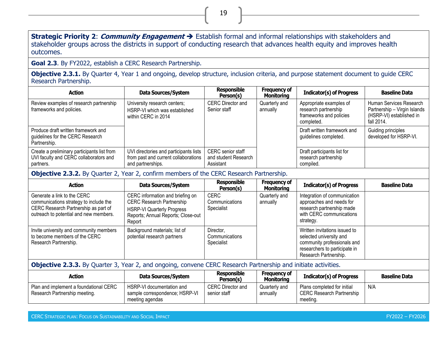**Strategic Priority 2**: **Community Engagement** ➔ Establish formal and informal relationships with stakeholders and stakeholder groups across the districts in support of conducting research that advances health equity and improves health outcomes.

**Goal 2.3**. By FY2022, establish a CERC Research Partnership.

**Objective 2.3.1.** By Quarter 4, Year 1 and ongoing, develop structure, inclusion criteria, and purpose statement document to guide CERC Research Partnership.

| <b>Action</b>                                                                                      | <b>Data Sources/System</b>                                                                          | <b>Responsible</b><br>Person(s)                               | <b>Frequency of</b><br><b>Monitoring</b> | <b>Indicator(s) of Progress</b>                                                          | <b>Baseline Data</b>                                                                              |
|----------------------------------------------------------------------------------------------------|-----------------------------------------------------------------------------------------------------|---------------------------------------------------------------|------------------------------------------|------------------------------------------------------------------------------------------|---------------------------------------------------------------------------------------------------|
| Review examples of research partnership<br>frameworks and policies.                                | University research centers;<br>HSRP-VI which was established<br>within CERC in 2014                | <b>CERC Director and</b><br>Senior staff                      | Quarterly and<br>annually                | Appropriate examples of<br>research partnership<br>frameworks and policies<br>completed. | Human Services Research<br>Partnership - Virgin Islands<br>(HSRP-VI) established in<br>fall 2014. |
| Produce draft written framework and<br>quidelines for the CERC Research<br>Partnership.            |                                                                                                     |                                                               |                                          | Draft written framework and<br>guidelines completed.                                     | Guiding principles<br>developed for HSRP-VI.                                                      |
| Create a preliminary participants list from<br>UVI faculty and CERC collaborators and<br>partners. | UVI directories and participants lists<br>from past and current collaborations<br>and partnerships. | <b>CERC</b> senior staff<br>and student Research<br>Assistant |                                          | Draft participants list for<br>research partnership<br>compiled.                         |                                                                                                   |

**Objective 2.3.2.** By Quarter 2, Year 2, confirm members of the CERC Research Partnership.

| <b>Action</b>                                                                                                                                           | Data Sources/System                                                                                                                                       | <b>Responsible</b><br>Person(s)             | Frequency of<br><b>Monitoring</b> | <b>Indicator(s) of Progress</b>                                                                                                                   | <b>Baseline Data</b> |
|---------------------------------------------------------------------------------------------------------------------------------------------------------|-----------------------------------------------------------------------------------------------------------------------------------------------------------|---------------------------------------------|-----------------------------------|---------------------------------------------------------------------------------------------------------------------------------------------------|----------------------|
| Generate a link to the CERC<br>communications strategy to include the<br>CERC Research Partnership as part of<br>outreach to potential and new members. | CERC information and briefing on<br><b>CERC Research Partnership</b><br><b>HSRP-VI Quarterly Progress</b><br>Reports; Annual Reports; Close-out<br>Report | <b>CERC</b><br>Communications<br>Specialist | Quarterly and<br>annually         | Integration of communication<br>approaches and needs for<br>research partnership made<br>with CERC communications<br>strategy.                    |                      |
| Invite university and community members<br>to become members of the CERC<br>Research Partnership.                                                       | Background materials; list of<br>potential research partners                                                                                              | Director,<br>Communications<br>Specialist   |                                   | Written invitations issued to<br>selected university and<br>community professionals and<br>researchers to participate in<br>Research Partnership. |                      |

**Objective 2.3.3.** By Quarter 3, Year 2, and ongoing, convene CERC Research Partnership and initiate activities.

| Action                                                                  | Data Sources/System                                                            | <b>Responsible</b><br>Person(s)   | <b>Frequency of</b><br><b>Monitoring</b> | <b>Indicator(s) of Progress</b>                                             | <b>Baseline Data</b> |
|-------------------------------------------------------------------------|--------------------------------------------------------------------------------|-----------------------------------|------------------------------------------|-----------------------------------------------------------------------------|----------------------|
| Plan and implement a foundational CERC<br>Research Partnership meeting. | HSRP-VI documentation and<br>sample correspondence; HSRP-VI<br>meeting agendas | CERC Director and<br>senior staff | Quarterlv and<br>annually                | Plans completed for initial<br><b>CERC Research Partnership</b><br>meeting. | N/A                  |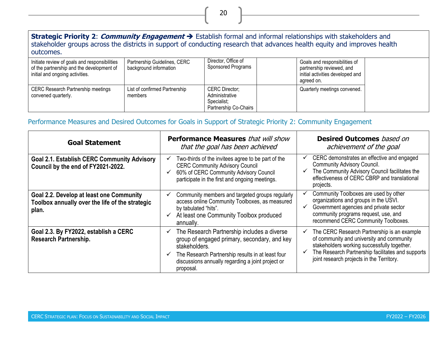## **Strategic Priority 2**: **Community Engagement** ➔ Establish formal and informal relationships with stakeholders and stakeholder groups across the districts in support of conducting research that advances health equity and improves health outcomes.

| Initiate review of goals and responsibilities<br>of the partnership and the development of<br>initial and ongoing activities. | Partnership Guidelines, CERC<br>background information | Director, Office of<br>Sponsored Programs                                       | Goals and responsibilities of<br>partnership reviewed, and<br>initial activities developed and<br>agreed on. |  |
|-------------------------------------------------------------------------------------------------------------------------------|--------------------------------------------------------|---------------------------------------------------------------------------------|--------------------------------------------------------------------------------------------------------------|--|
| <b>CERC Research Partnership meetings</b><br>convened quarterly.                                                              | List of confirmed Partnership<br>members               | <b>CERC Director;</b><br>Administrative<br>Specialist;<br>Partnership Co-Chairs | Quarterly meetings convened.                                                                                 |  |

## Performance Measures and Desired Outcomes for Goals in Support of Strategic Priority 2: Community Engagement

| <b>Goal Statement</b>                                                                                | <b>Performance Measures</b> that will show<br>that the goal has been achieved                                                                                                                                                                            | <b>Desired Outcomes</b> based on<br>achievement of the goal                                                                                                                                                                               |
|------------------------------------------------------------------------------------------------------|----------------------------------------------------------------------------------------------------------------------------------------------------------------------------------------------------------------------------------------------------------|-------------------------------------------------------------------------------------------------------------------------------------------------------------------------------------------------------------------------------------------|
| <b>Goal 2.1. Establish CERC Community Advisory</b><br>Council by the end of FY2021-2022.             | Two-thirds of the invitees agree to be part of the<br><b>CERC Community Advisory Council</b><br>60% of CERC Community Advisory Council<br>participate in the first and ongoing meetings.                                                                 | CERC demonstrates an effective and engaged<br>Community Advisory Council.<br>The Community Advisory Council facilitates the<br>effectiveness of CERC CBRP and translational<br>projects.                                                  |
| Goal 2.2. Develop at least one Community<br>Toolbox annually over the life of the strategic<br>plan. | Community members and targeted groups regularly<br>access online Community Toolboxes, as measured<br>by tabulated "hits".<br>At least one Community Toolbox produced<br>annually.                                                                        | Community Toolboxes are used by other<br>organizations and groups in the USVI.<br>Government agencies and private sector<br>community programs request, use, and<br>recommend CERC Community Toolboxes.                                   |
| Goal 2.3. By FY2022, establish a CERC<br>Research Partnership.                                       | The Research Partnership includes a diverse<br>✓<br>group of engaged primary, secondary, and key<br>stakeholders.<br>The Research Partnership results in at least four<br>$\checkmark$<br>discussions annually regarding a joint project or<br>proposal. | The CERC Research Partnership is an example<br>of community and university and community<br>stakeholders working successfully together.<br>The Research Partnership facilitates and supports<br>joint research projects in the Territory. |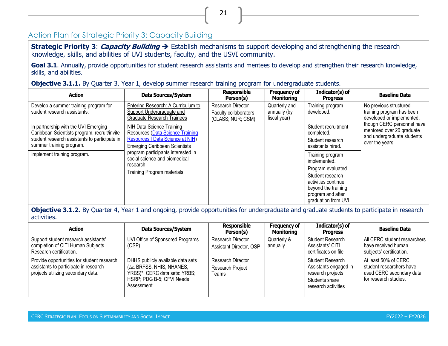# Action Plan for Strategic Priority 3: Capacity Building

**Strategic Priority 3**: **Capacity Building** ➔ Establish mechanisms to support developing and strengthening the research knowledge, skills, and abilities of UVI students, faculty, and the USVI community.

Goal 3.1. Annually, provide opportunities for student research assistants and mentees to develop and strengthen their research knowledge, skills, and abilities.

21

**Objective 3.1.1.** By Quarter 3, Year 1, develop summer research training program for undergraduate students.

<span id="page-29-0"></span>

| <b>Action</b>                                                                                                                                                     | Data Sources/System                                                                                                                                                                                                                                               | <b>Responsible</b><br>Person(s)                                 | <b>Frequency of</b><br><b>Monitoring</b>      | Indicator(s) of<br><b>Progress</b>                                                                                                                                    | <b>Baseline Data</b>                                                                                     |
|-------------------------------------------------------------------------------------------------------------------------------------------------------------------|-------------------------------------------------------------------------------------------------------------------------------------------------------------------------------------------------------------------------------------------------------------------|-----------------------------------------------------------------|-----------------------------------------------|-----------------------------------------------------------------------------------------------------------------------------------------------------------------------|----------------------------------------------------------------------------------------------------------|
| Develop a summer training program for<br>student research assistants.                                                                                             | <b>Entering Research: A Curriculum to</b><br>Support Undergraduate and<br><b>Graduate Research Trainees</b>                                                                                                                                                       | Research Director<br>Faculty collaborators<br>(CLASS; NUR; CSM) | Quarterly and<br>annually (by<br>fiscal year) | Training program<br>developed.                                                                                                                                        | No previous structured<br>training program has been<br>developed or implemented,                         |
| In partnership with the UVI Emerging<br>Caribbean Scientists program, recruit/invite<br>student research assistants to participate in<br>summer training program. | NIH Data Science Training<br><b>Resources (Data Science Training</b><br>Resources   Data Science at NIH)<br><b>Emerging Caribbean Scientists</b><br>program participants interested in<br>social science and biomedical<br>research<br>Training Program materials |                                                                 |                                               | Student recruitment<br>completed.<br>Student research<br>assistants hired.                                                                                            | though CERC personnel have<br>mentored over 20 graduate<br>and undergraduate students<br>over the years. |
| Implement training program.                                                                                                                                       |                                                                                                                                                                                                                                                                   |                                                                 |                                               | Training program<br>implemented.<br>Program evaluated.<br>Student research<br>activities continue<br>beyond the training<br>program and after<br>graduation from UVI. |                                                                                                          |

**Objective 3.1.2.** By Quarter 4, Year 1 and ongoing, provide opportunities for undergraduate and graduate students to participate in research activities.

| <b>Action</b>                                                                                                             | Data Sources/System                                                                                                                          | <b>Responsible</b><br>Person(s)                | <b>Frequency of</b><br>Monitoring | $Indicator(s)$ of<br><b>Progress</b>                                                                           | <b>Baseline Data</b>                                                                                  |
|---------------------------------------------------------------------------------------------------------------------------|----------------------------------------------------------------------------------------------------------------------------------------------|------------------------------------------------|-----------------------------------|----------------------------------------------------------------------------------------------------------------|-------------------------------------------------------------------------------------------------------|
| Support student research assistants'<br>completion of CITI Human Subjects<br>Research certification.                      | UVI Office of Sponsored Programs<br>(OSP)                                                                                                    | Research Director<br>Assistant Director, OSP   | Quarterly &<br>annually           | Student Research<br>Assistants' CITI<br>certificates on file                                                   | All CERC student researchers<br>have received human<br>subjects' certification.                       |
| Provide opportunities for student research<br>assistants to participate in research<br>projects utilizing secondary data. | DHHS publicly available data sets<br>(i.e., BRFSS, NHIS, NHANES,<br>YRBS)*; CERC data sets: YRBS;<br>HSRP; PDG B-5; CFVI Needs<br>Assessment | Research Director<br>Research Project<br>Teams |                                   | <b>Student Research</b><br>Assistants engaged in<br>research projects<br>Students share<br>research activities | At least 50% of CERC<br>student researchers have<br>used CERC secondary data<br>for research studies. |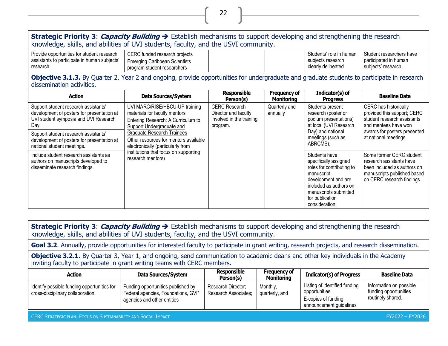#### **Strategic Priority 3**: **Capacity Building** ➔ Establish mechanisms to support developing and strengthening the research knowledge, skills, and abilities of UVI students, faculty, and the USVI community. Provide opportunities for student research assistants to participate in human subjects' research. CERC funded research projects Emerging Caribbean Scientists program student researchers Students' role in human subjects research clearly delineated Student researchers have participated in human subjects' research. **Objective 3.1.3.** By Quarter 2, Year 2 and ongoing, provide opportunities for undergraduate and graduate students to participate in research dissemination activities. **Action Data Sources/System Responsible Person(s) Frequency of Monitoring Indicator(s) of Progress Baseline Data** Support student research assistants' development of posters for presentation at UVI student symposia and UVI Research Day. UVI MARC/RISE/HBCU-UP training materials for faculty mentors Entering Research: A Curriculum to Support Undergraduate and Graduate Research Trainees Other resources for mentors available electronically (particularly from institutions that focus on supporting CERC Research Director and faculty involved in the training program. Quarterly and annually Students present research (poster or podium presentations) at local (UVI Research Day) and national meetings (such as ABRCMS). CERC has historically provided this support; CERC student research assistants and mentees have won awards for posters presented at national meetings. Support student research assistants' development of posters for presentation at national student meetings. Include student research assistants as Students have Some former CERC student

22

**Strategic Priority 3**: **Capacity Building** ➔ Establish mechanisms to support developing and strengthening the research knowledge, skills, and abilities of UVI students, faculty, and the USVI community.

Goal 3.2. Annually, provide opportunities for interested faculty to participate in grant writing, research projects, and research dissemination.

**Objective 3.2.1.** By Quarter 3, Year 1, and ongoing, send communication to academic deans and other key individuals in the Academy inviting faculty to participate in grant writing teams with CERC members.

| <b>Action</b>                                                                    | Data Sources/System                                                                                      | <b>Responsible</b><br>Person(s)            | <b>Frequency of</b><br><b>Monitoring</b> | <b>Indicator(s) of Progress</b>                                                                  | <b>Baseline Data</b>                                                  |
|----------------------------------------------------------------------------------|----------------------------------------------------------------------------------------------------------|--------------------------------------------|------------------------------------------|--------------------------------------------------------------------------------------------------|-----------------------------------------------------------------------|
| Identify possible funding opportunities for<br>cross-disciplinary collaboration. | Funding opportunities published by<br>Federal agencies, Foundations, GVI*<br>agencies and other entities | Research Director;<br>Research Associates; | Monthly,<br>quarterly, and               | Listing of identified funding<br>opportunities<br>E-copies of funding<br>announcement guidelines | Information on possible<br>funding opportunities<br>routinely shared. |

CERC STRATEGIC PLAN: FOCUS ON SUSTAINABILITY AND SOCIAL IMPACT FY2022 – FY2026

authors on manuscripts developed to disseminate research findings.

research mentors)

research assistants have been included as authors on manuscripts published based on CERC research findings.

specifically assigned roles for contributing to

development and are included as authors on manuscripts submitted for publication consideration.

manuscript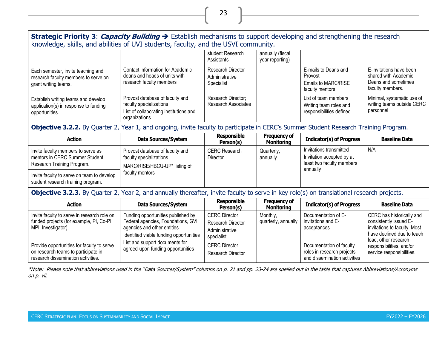| Strategic Priority 3: <i>Capacity Building</i> → Establish mechanisms to support developing and strengthening the research<br>knowledge, skills, and abilities of UVI students, faculty, and the USVI community. |                                                                                                                                                    |                                                                           |                                          |                                                                                               |                                                                                                                                           |  |
|------------------------------------------------------------------------------------------------------------------------------------------------------------------------------------------------------------------|----------------------------------------------------------------------------------------------------------------------------------------------------|---------------------------------------------------------------------------|------------------------------------------|-----------------------------------------------------------------------------------------------|-------------------------------------------------------------------------------------------------------------------------------------------|--|
|                                                                                                                                                                                                                  |                                                                                                                                                    | student Research<br>Assistants                                            | annually (fiscal<br>year reporting)      |                                                                                               |                                                                                                                                           |  |
| Each semester, invite teaching and<br>research faculty members to serve on<br>grant writing teams.                                                                                                               | Contact information for Academic<br>deans and heads of units with<br>research faculty members                                                      | <b>Research Director</b><br>Administrative<br>Specialist                  |                                          | E-mails to Deans and<br>Provost<br>Emails to MARC/RISE<br>faculty mentors                     | E-invitations have been<br>shared with Academic<br>Deans and sometimes<br>faculty members.                                                |  |
| Establish writing teams and develop<br>application(s) in response to funding<br>opportunities.                                                                                                                   | Provost database of faculty and<br>faculty specializations<br>List of collaborating institutions and<br>organizations                              | Research Director;<br>Research Associates                                 |                                          | List of team members<br>Writing team roles and<br>responsibilities defined.                   | Minimal, systematic use of<br>writing teams outside CERC<br>personnel                                                                     |  |
| Objective 3.2.2. By Quarter 2, Year 1, and ongoing, invite faculty to participate in CERC's Summer Student Research Training Program.                                                                            |                                                                                                                                                    |                                                                           |                                          |                                                                                               |                                                                                                                                           |  |
| <b>Action</b>                                                                                                                                                                                                    | <b>Data Sources/System</b>                                                                                                                         | <b>Responsible</b><br>Person(s)                                           | <b>Frequency of</b><br><b>Monitoring</b> | <b>Indicator(s) of Progress</b>                                                               | <b>Baseline Data</b>                                                                                                                      |  |
| Invite faculty members to serve as<br>mentors in CERC Summer Student<br>Research Training Program.                                                                                                               | Provost database of faculty and<br>faculty specializations<br>MARC/RISE/HBCU-UP* listing of                                                        | <b>CERC Research</b><br>Director                                          | Quarterly,<br>annually                   | Invitations transmitted<br>Invitation accepted by at<br>least two faculty members<br>annually | N/A                                                                                                                                       |  |
| Invite faculty to serve on team to develop<br>student research training program.                                                                                                                                 | faculty mentors                                                                                                                                    |                                                                           |                                          |                                                                                               |                                                                                                                                           |  |
| Objective 3.2.3. By Quarter 2, Year 2, and annually thereafter, invite faculty to serve in key role(s) on translational research projects.                                                                       |                                                                                                                                                    |                                                                           |                                          |                                                                                               |                                                                                                                                           |  |
| <b>Action</b>                                                                                                                                                                                                    | Data Sources/System                                                                                                                                | <b>Responsible</b><br>Person(s)                                           | <b>Frequency of</b><br><b>Monitoring</b> | <b>Indicator(s) of Progress</b>                                                               | <b>Baseline Data</b>                                                                                                                      |  |
| Invite faculty to serve in research role on<br>funded projects (for example, PI, Co-PI,<br>MPI, Investigator).                                                                                                   | Funding opportunities published by<br>Federal agencies, Foundations, GVI<br>agencies and other entities<br>Identified viable funding opportunities | <b>CERC Director</b><br>Research Director<br>Administrative<br>specialist | Monthly,<br>quarterly, annually          | Documentation of E-<br>invitations and E-<br>acceptances                                      | CERC has historically and<br>consistently issued E-<br>invitations to faculty. Most<br>have declined due to teach<br>load, other research |  |
| Provide opportunities for faculty to serve<br>on research teams to participate in<br>research dissemination activities.                                                                                          | List and support documents for<br>agreed-upon funding opportunities                                                                                | <b>CERC Director</b><br><b>Research Director</b>                          |                                          | Documentation of faculty<br>roles in research projects<br>and dissemination activities        | responsibilities, and/or<br>service responsibilities.                                                                                     |  |

\*Note: Please note that abbreviations used in the "Data Sources/System" columns on p. 21 and pp. 23-24 are spelled out in the table that captures Abbreviations/Acronyms on p. vii.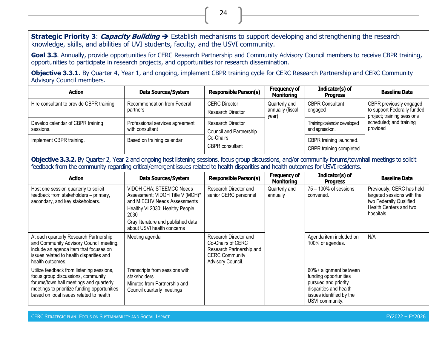**Strategic Priority 3**: **Capacity Building** ➔ Establish mechanisms to support developing and strengthening the research knowledge, skills, and abilities of UVI students, faculty, and the USVI community.

24

**Goal 3.3**. Annually, provide opportunities for CERC Research Partnership and Community Advisory Council members to receive CBPR training, opportunities to participate in research projects, and opportunities for research dissemination.

**Objective 3.3.1.** By Quarter 4, Year 1, and ongoing, implement CBPR training cycle for CERC Research Partnership and CERC Community Advisory Council members.

| <b>Action</b>                                  | Data Sources/System                                | <b>Responsible Person(s)</b>                                                        | <b>Frequency of</b><br><b>Monitoring</b>   | Indicator(s) of<br><b>Progress</b> | <b>Baseline Data</b>                                                                 |  |  |  |  |  |                                               |                                     |
|------------------------------------------------|----------------------------------------------------|-------------------------------------------------------------------------------------|--------------------------------------------|------------------------------------|--------------------------------------------------------------------------------------|--|--|--|--|--|-----------------------------------------------|-------------------------------------|
| Hire consultant to provide CBPR training.      | Recommendation from Federal<br>partners            | <b>CERC Director</b><br>Research Director                                           | Quarterly and<br>annually (fiscal<br>year) | <b>CBPR Consultant</b><br>engaged  | CBPR previously engaged<br>to support Federally funded<br>project; training sessions |  |  |  |  |  |                                               |                                     |
| Develop calendar of CBPR training<br>sessions. | Professional services agreement<br>with consultant | Research Director<br>Council and Partnership<br>Co-Chairs<br><b>CBPR</b> consultant |                                            |                                    |                                                                                      |  |  |  |  |  | Training calendar developed<br>and agreed-on. | scheduled; and training<br>provided |
| Implement CBPR training.                       | Based on training calendar                         |                                                                                     |                                            |                                    | CBPR training launched.<br>CBPR training completed.                                  |  |  |  |  |  |                                               |                                     |

**Objective 3.3.2.** By Quarter 2, Year 2 and ongoing host listening sessions, focus group discussions, and/or community forums/townhall meetings to solicit feedback from the community regarding critical/emergent issues related to health disparities and health outcomes for USVI residents.

| <b>Action</b>                                                                                                                                                                                                         | <b>Data Sources/System</b>                                                                                                                                                                                  | <b>Responsible Person(s)</b>                                                                                         | <b>Frequency of</b><br><b>Monitoring</b> | Indicator(s) of<br><b>Progress</b>                                                                                                               | <b>Baseline Data</b>                                                                                                       |
|-----------------------------------------------------------------------------------------------------------------------------------------------------------------------------------------------------------------------|-------------------------------------------------------------------------------------------------------------------------------------------------------------------------------------------------------------|----------------------------------------------------------------------------------------------------------------------|------------------------------------------|--------------------------------------------------------------------------------------------------------------------------------------------------|----------------------------------------------------------------------------------------------------------------------------|
| Host one session quarterly to solicit<br>feedback from stakeholders - primary,<br>secondary, and key stakeholders.                                                                                                    | VIDOH CHA; STEEMCC Needs<br>Assessment; VIDOH Title V (MCH)*<br>and MIECHV Needs Assessments<br>Healthy VI 2030; Healthy People<br>2030<br>Gray literature and published data<br>about USVI health concerns | Research Director and<br>senior CERC personnel                                                                       | Quarterly and<br>annually                | $75 - 100\%$ of sessions<br>convened.                                                                                                            | Previously, CERC has held<br>targeted sessions with the<br>two Federally Qualified<br>Health Centers and two<br>hospitals. |
| At each quarterly Research Partnership<br>and Community Advisory Council meeting,<br>include an agenda item that focuses on<br>issues related to health disparities and<br>health outcomes.                           | Meeting agenda                                                                                                                                                                                              | Research Director and<br>Co-Chairs of CERC<br>Research Partnership and<br><b>CERC Community</b><br>Advisory Council. |                                          | Agenda item included on<br>100% of agendas.                                                                                                      | N/A                                                                                                                        |
| Utilize feedback from listening sessions,<br>focus group discussions, community<br>forums/town hall meetings and quarterly<br>meetings to prioritize funding opportunities<br>based on local issues related to health | Transcripts from sessions with<br>stakeholders<br>Minutes from Partnership and<br>Council quarterly meetings                                                                                                |                                                                                                                      |                                          | 60%+ alignment between<br>funding opportunities<br>pursued and priority<br>disparities and health<br>issues identified by the<br>USVI community. |                                                                                                                            |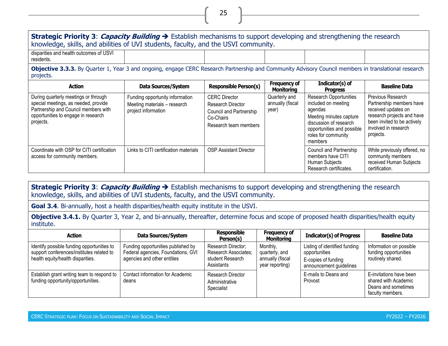**Strategic Priority 3**: **Capacity Building** ➔ Establish mechanisms to support developing and strengthening the research knowledge, skills, and abilities of UVI students, faculty, and the USVI community. disparities and health outcomes of USVI residents.

25

**Objective 3.3.3.** By Quarter 1, Year 3 and ongoing, engage CERC Research Partnership and Community Advisory Council members in translational research projects.

| <b>Action</b>                                                                                                                                                            | Data Sources/System                                                                    | <b>Responsible Person(s)</b>                                                                               | <b>Frequency of</b><br>Monitoring          | Indicator(s) of<br><b>Progress</b>                                                                                                                                                   | <b>Baseline Data</b>                                                                                                                                                   |
|--------------------------------------------------------------------------------------------------------------------------------------------------------------------------|----------------------------------------------------------------------------------------|------------------------------------------------------------------------------------------------------------|--------------------------------------------|--------------------------------------------------------------------------------------------------------------------------------------------------------------------------------------|------------------------------------------------------------------------------------------------------------------------------------------------------------------------|
| During quarterly meetings or through<br>special meetings, as needed, provide<br>Partnership and Council members with<br>opportunities to engage in research<br>projects. | Funding opportunity information<br>Meeting materials - research<br>project information | <b>CERC</b> Director<br>Research Director<br>Council and Partnership<br>Co-Chairs<br>Research team members | Quarterly and<br>annually (fiscal<br>year) | <b>Research Opportunities</b><br>included on meeting<br>agendas<br>Meeting minutes capture<br>discussion of research<br>opportunities and possible<br>roles for community<br>members | Previous Research<br>Partnership members have<br>received updates on<br>research projects and have<br>been invited to be actively<br>involved in research<br>projects. |
| Coordinate with OSP for CITI certification<br>access for community members.                                                                                              | Links to CITI certification materials                                                  | <b>OSP Assistant Director</b>                                                                              |                                            | Council and Partnership<br>members have CITI<br>Human Subjects<br>Research certificates.                                                                                             | While previously offered, no<br>community members<br>received Human Subjects<br>certification.                                                                         |

**Strategic Priority 3**: **Capacity Building** ➔ Establish mechanisms to support developing and strengthening the research knowledge, skills, and abilities of UVI students, faculty, and the USVI community.

**Goal 3.4**. Bi-annually, host a health disparities/health equity institute in the USVI.

**Objective 3.4.1.** By Quarter 3, Year 2, and bi-annually, thereafter, determine focus and scope of proposed health disparities/health equity institute.

| <b>Action</b>                                                                                                                | Data Sources/System                                                                                     | Responsible<br>Person(s)                                                     | <b>Frequency of</b><br><b>Monitoring</b>                          | <b>Indicator(s) of Progress</b>                                                                  | <b>Baseline Data</b>                                                                       |
|------------------------------------------------------------------------------------------------------------------------------|---------------------------------------------------------------------------------------------------------|------------------------------------------------------------------------------|-------------------------------------------------------------------|--------------------------------------------------------------------------------------------------|--------------------------------------------------------------------------------------------|
| Identify possible funding opportunities to<br>support conferences/institutes related to<br>health equity/health disparities. | Funding opportunities published by<br>Federal agencies, Foundations, GVI<br>agencies and other entities | Research Director;<br>Research Associates;<br>student Research<br>Assistants | Monthly,<br>quarterly, and<br>annually (fiscal<br>year reporting) | Listing of identified funding<br>opportunities<br>E-copies of funding<br>announcement guidelines | Information on possible<br>funding opportunities<br>routinely shared.                      |
| Establish grant writing team to respond to<br>funding opportunity/opportunities.                                             | Contact information for Academic<br>deans                                                               | Research Director<br>Administrative<br>Specialist                            |                                                                   | E-mails to Deans and<br>Provost                                                                  | E-invitations have been<br>shared with Academic<br>Deans and sometimes<br>faculty members. |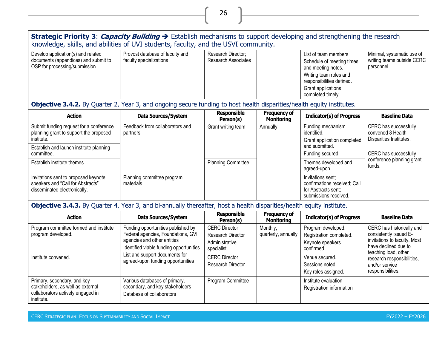#### **Strategic Priority 3**: **Capacity Building** ➔ Establish mechanisms to support developing and strengthening the research knowledge, skills, and abilities of UVI students, faculty, and the USVI community.

26

| Minimal, systematic use of<br>writing teams outside CERC<br>Schedule of meeting times<br>personnel |
|----------------------------------------------------------------------------------------------------|
|                                                                                                    |
|                                                                                                    |

## **Objective 3.4.2.** By Quarter 2, Year 3, and ongoing secure funding to host health disparities/health equity institutes.

| <b>Action</b>                                                                                             | Data Sources/System                         | <b>Responsible</b><br>Person(s) | <b>Frequency of</b><br><b>Monitoring</b> | <b>Indicator(s) of Progress</b>                                                                   | <b>Baseline Data</b>                                         |
|-----------------------------------------------------------------------------------------------------------|---------------------------------------------|---------------------------------|------------------------------------------|---------------------------------------------------------------------------------------------------|--------------------------------------------------------------|
| Submit funding request for a conference<br>planning grant to support the proposed                         | Feedback from collaborators and<br>partners | Grant writing team              | Annually                                 | Funding mechanism<br>identified.                                                                  | CERC has successfully<br>convened 8 Health                   |
| institute.                                                                                                |                                             |                                 |                                          | Grant application completed                                                                       | Disparities Institutes.                                      |
| Establish and launch institute planning                                                                   |                                             |                                 |                                          | and submitted.                                                                                    |                                                              |
| committee.                                                                                                |                                             |                                 |                                          | Funding secured.                                                                                  | CERC has successfully<br>conference planning grant<br>funds. |
| Establish institute themes.                                                                               |                                             | <b>Planning Committee</b>       |                                          | Themes developed and<br>agreed-upon.                                                              |                                                              |
| Invitations sent to proposed keynote<br>speakers and "Call for Abstracts"<br>disseminated electronically. | Planning committee program<br>materials     |                                 |                                          | Invitations sent;<br>confirmations received; Call<br>for Abstracts sent;<br>submissions received. |                                                              |

**Objective 3.4.3.** By Quarter 4, Year 3, and bi-annually thereafter, host a health disparities/health equity institute.

| <b>Action</b>                                                                                                       | Data Sources/System                                                                                                                                | <b>Responsible</b><br>Person(s)                                                  | <b>Frequency of</b><br><b>Monitoring</b> | <b>Indicator(s) of Progress</b>                                                 | <b>Baseline Data</b>                                                                                        |
|---------------------------------------------------------------------------------------------------------------------|----------------------------------------------------------------------------------------------------------------------------------------------------|----------------------------------------------------------------------------------|------------------------------------------|---------------------------------------------------------------------------------|-------------------------------------------------------------------------------------------------------------|
| Program committee formed and institute<br>program developed.                                                        | Funding opportunities published by<br>Federal agencies, Foundations, GVI<br>agencies and other entities<br>Identified viable funding opportunities | <b>CERC Director</b><br><b>Research Director</b><br>Administrative<br>specialist | Monthly,<br>quarterly, annually          | Program developed.<br>Registration completed.<br>Keynote speakers<br>confirmed. | CERC has historically and<br>consistently issued E-<br>invitations to faculty. Most<br>have declined due to |
| Institute convened.                                                                                                 | List and support documents for<br>agreed-upon funding opportunities                                                                                | <b>CERC Director</b><br><b>Research Director</b>                                 |                                          | Venue secured.<br>Sessions noted.<br>Key roles assigned.                        | teaching load, other<br>research responsibilities,<br>and/or service<br>responsibilities.                   |
| Primary, secondary, and key<br>stakeholders, as well as external<br>collaborators actively engaged in<br>institute. | Various databases of primary,<br>secondary, and key stakeholders<br>Database of collaborators                                                      | Program Committee                                                                |                                          | Institute evaluation<br>Registration information                                |                                                                                                             |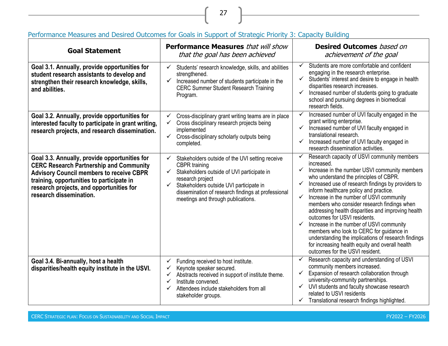| <b>Goal Statement</b>                                                                                                                                                                                                                                                  | <b>Performance Measures</b> that will show<br>that the goal has been achieved                                                                                                                                                                                                                              | <b>Desired Outcomes</b> based on<br>achievement of the goal                                                                                                                                                                                                                                                                                                                                                                                                                                                                                                                                                                                                                               |
|------------------------------------------------------------------------------------------------------------------------------------------------------------------------------------------------------------------------------------------------------------------------|------------------------------------------------------------------------------------------------------------------------------------------------------------------------------------------------------------------------------------------------------------------------------------------------------------|-------------------------------------------------------------------------------------------------------------------------------------------------------------------------------------------------------------------------------------------------------------------------------------------------------------------------------------------------------------------------------------------------------------------------------------------------------------------------------------------------------------------------------------------------------------------------------------------------------------------------------------------------------------------------------------------|
| Goal 3.1. Annually, provide opportunities for<br>student research assistants to develop and<br>strengthen their research knowledge, skills,<br>and abilities.                                                                                                          | $\checkmark$<br>Students' research knowledge, skills, and abilities<br>strengthened.<br>✓<br>Increased number of students participate in the<br><b>CERC Summer Student Research Training</b><br>Program.                                                                                                   | Students are more comfortable and confident<br>✓<br>engaging in the research enterprise.<br>✓<br>Students' interest and desire to engage in health<br>disparities research increases.<br>Increased number of students going to graduate<br>school and pursuing degrees in biomedical<br>research fields.                                                                                                                                                                                                                                                                                                                                                                                  |
| Goal 3.2. Annually, provide opportunities for<br>interested faculty to participate in grant writing,<br>research projects, and research dissemination.                                                                                                                 | Cross-disciplinary grant writing teams are in place<br>✓<br>Cross disciplinary research projects being<br>✓<br>implemented<br>Cross-disciplinary scholarly outputs being<br>✓<br>completed.                                                                                                                | Increased number of UVI faculty engaged in the<br>✓<br>grant writing enterprise.<br>Increased number of UVI faculty engaged in<br>$\checkmark$<br>translational research.<br>Increased number of UVI faculty engaged in<br>research dissemination activities.                                                                                                                                                                                                                                                                                                                                                                                                                             |
| Goal 3.3. Annually, provide opportunities for<br><b>CERC Research Partnership and Community</b><br><b>Advisory Council members to receive CBPR</b><br>training, opportunities to participate in<br>research projects, and opportunities for<br>research dissemination. | Stakeholders outside of the UVI setting receive<br>$\checkmark$<br><b>CBPR</b> training<br>Stakeholders outside of UVI participate in<br>✓<br>research project<br>Stakeholders outside UVI participate in<br>✓<br>dissemination of research findings at professional<br>meetings and through publications. | Research capacity of USVI community members<br>✓<br>increased.<br>Increase in the number USVI community members<br>✓<br>who understand the principles of CBPR.<br>Increased use of research findings by providers to<br>inform healthcare policy and practice.<br>Increase in the number of USVI community<br>✓<br>members who consider research findings when<br>addressing health disparities and improving health<br>outcomes for USVI residents.<br>Increase in the number of USVI community<br>members who look to CERC for guidance in<br>understanding the implications of research findings<br>for increasing health equity and overall health<br>outcomes for the USVI resident. |
| Goal 3.4. Bi-annually, host a health<br>disparities/health equity institute in the USVI.                                                                                                                                                                               | Funding received to host institute.<br>✓<br>Keynote speaker secured.<br>✓<br>Abstracts received in support of institute theme.<br>✓<br>Institute convened.<br>✓<br>Attendees include stakeholders from all<br>✓<br>stakeholder groups.                                                                     | Research capacity and understanding of USVI<br>community members increased.<br>✓<br>Expansion of research collaboration through<br>university-community partnerships.<br>UVI students and faculty showcase research<br>$\checkmark$<br>related to USVI residents<br>Translational research findings highlighted.                                                                                                                                                                                                                                                                                                                                                                          |

# Performance Measures and Desired Outcomes for Goals in Support of Strategic Priority 3: Capacity Building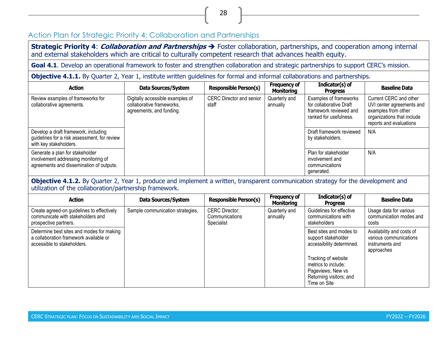# Action Plan for Strategic Priority 4: Collaboration and Partnerships

**Strategic Priority 4**: **Collaboration and Partnerships** ➔ Foster collaboration, partnerships, and cooperation among internal and external stakeholders which are critical to culturally competent research that advances health equity.

Goal 4.1. Develop an operational framework to foster and strengthen collaboration and strategic partnerships to support CERC's mission.

**Objective 4.1.1.** By Quarter 2, Year 1, institute written guidelines for formal and informal collaborations and partnerships.

| <b>Action</b>                                                                                                       | Data Sources/System                                                                       | <b>Responsible Person(s)</b>             | <b>Frequency of</b><br><b>Monitoring</b> | Indicator(s) of<br><b>Progress</b>                                                                    | <b>Baseline Data</b>                                                                                                                |
|---------------------------------------------------------------------------------------------------------------------|-------------------------------------------------------------------------------------------|------------------------------------------|------------------------------------------|-------------------------------------------------------------------------------------------------------|-------------------------------------------------------------------------------------------------------------------------------------|
| Review examples of frameworks for<br>collaborative agreements.                                                      | Digitally accessible examples of<br>collaborative frameworks,<br>agreements, and funding. | <b>CERC Director and senior</b><br>staff | Quarterly and<br>annually                | Examples of frameworks<br>for collaborative Draft<br>framework reviewed and<br>ranked for usefulness. | Current CERC and other<br>UVI center agreements and<br>examples from other<br>organizations that include<br>reports and evaluations |
| Develop a draft framework, including<br>guidelines for a risk assessment, for review<br>with key stakeholders.      |                                                                                           |                                          |                                          | Draft framework reviewed<br>by stakeholders.                                                          | N/A                                                                                                                                 |
| Generate a plan for stakeholder<br>involvement addressing monitoring of<br>agreements and dissemination of outputs. |                                                                                           |                                          |                                          | Plan for stakeholder<br>involvement and<br>communications<br>generated.                               | N/A                                                                                                                                 |

#### <span id="page-36-0"></span>**Objective 4.1.2.** By Quarter 2, Year 1, produce and implement a written, transparent communication strategy for the development and utilization of the collaboration/partnership framework.

| <b>Action</b>                                                                                                      | Data Sources/System              | <b>Responsible Person(s)</b>                          | <b>Frequency of</b><br><b>Monitoring</b> | Indicator(s) of<br><b>Progress</b>                                                                         | <b>Baseline Data</b>                                                                 |
|--------------------------------------------------------------------------------------------------------------------|----------------------------------|-------------------------------------------------------|------------------------------------------|------------------------------------------------------------------------------------------------------------|--------------------------------------------------------------------------------------|
| Create agreed-on guidelines to effectively<br>communicate with stakeholders and<br>prospective partners.           | Sample communication strategies, | <b>CERC Director;</b><br>Communications<br>Specialist | Quarterly and<br>annually                | Guidelines for effective<br>communications with<br>stakeholders                                            | Usage data for various<br>communication modes and<br>costs                           |
| Determine best sites and modes for making<br>a collaboration framework available or<br>accessible to stakeholders. |                                  |                                                       |                                          | Best sites and modes to<br>support stakeholder<br>accessibility determined.                                | Availability and costs of<br>various communications<br>instruments and<br>approaches |
|                                                                                                                    |                                  |                                                       |                                          | Tracking of website<br>metrics to include:<br>Pageviews; New vs<br>Returning visitors; and<br>Time on Site |                                                                                      |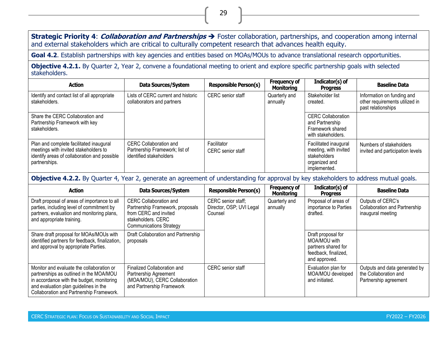**Strategic Priority 4**: **Collaboration and Partnerships** ➔ Foster collaboration, partnerships, and cooperation among internal and external stakeholders which are critical to culturally competent research that advances health equity.

29

Goal 4.2. Establish partnerships with key agencies and entities based on MOAs/MOUs to advance translational research opportunities.

**Objective 4.2.1.** By Quarter 2, Year 2, convene a foundational meeting to orient and explore specific partnership goals with selected stakeholders.

| <b>Action</b>                                                                                                                                     | Data Sources/System                                                                        | <b>Responsible Person(s)</b>     | <b>Frequency of</b><br><b>Monitoring</b> | Indicator(s) of<br><b>Progress</b>                                                              | <b>Baseline Data</b>                                                               |
|---------------------------------------------------------------------------------------------------------------------------------------------------|--------------------------------------------------------------------------------------------|----------------------------------|------------------------------------------|-------------------------------------------------------------------------------------------------|------------------------------------------------------------------------------------|
| Identify and contact list of all appropriate<br>stakeholders.                                                                                     | Lists of CERC current and historic<br>collaborators and partners                           | CERC senior staff                | Quarterly and<br>annually                | Stakeholder list<br>created.                                                                    | Information on funding and<br>other requirements utilized in<br>past relationships |
| Share the CERC Collaboration and<br>Partnership Framework with key<br>stakeholders.                                                               |                                                                                            |                                  |                                          | <b>CERC Collaboration</b><br>and Partnership<br>Framework shared<br>with stakeholders.          |                                                                                    |
| Plan and complete facilitated inaugural<br>meetings with invited stakeholders to<br>identify areas of collaboration and possible<br>partnerships. | <b>CERC Collaboration and</b><br>Partnership Framework; list of<br>identified stakeholders | Facilitator<br>CERC senior staff |                                          | Facilitated inaugural<br>meeting, with invited<br>stakeholders<br>organized and<br>implemented. | Numbers of stakeholders<br>invited and participation levels                        |

**Objective 4.2.2.** By Quarter 4, Year 2, generate an agreement of understanding for approval by key stakeholders to address mutual goals.

| <b>Action</b>                                                                                                                                                                                                          | <b>Data Sources/System</b>                                                                                                                         | <b>Responsible Person(s)</b>                              | <b>Frequency of</b><br><b>Monitoring</b> | Indicator(s) of<br><b>Progress</b>                                                                 | <b>Baseline Data</b>                                                            |
|------------------------------------------------------------------------------------------------------------------------------------------------------------------------------------------------------------------------|----------------------------------------------------------------------------------------------------------------------------------------------------|-----------------------------------------------------------|------------------------------------------|----------------------------------------------------------------------------------------------------|---------------------------------------------------------------------------------|
| Draft proposal of areas of importance to all<br>parties, including level of commitment by<br>partners, evaluation and monitoring plans,<br>and appropriate training.                                                   | <b>CERC Collaboration and</b><br>Partnership Framework, proposals<br>from CERC and invited<br>stakeholders. CERC<br><b>Communications Strategy</b> | CERC senior staff;<br>Director, OSP; UVI Legal<br>Counsel | Quarterly and<br>annually                | Proposal of areas of<br>importance to Parties<br>drafted.                                          | Outputs of CERC's<br>Collaboration and Partnership<br>inaugural meeting         |
| Share draft proposal for MOAs/MOUs with<br>identified partners for feedback, finalization,<br>and approval by appropriate Parties.                                                                                     | Draft Collaboration and Partnership<br>proposals                                                                                                   |                                                           |                                          | Draft proposal for<br>MOA/MOU with<br>partners shared for<br>feedback, finalized,<br>and approved. |                                                                                 |
| Monitor and evaluate the collaboration or<br>partnerships as outlined in the MOA/MOU<br>in accordance with the budget, monitoring<br>and evaluation plan guidelines in the<br>Collaboration and Partnership Framework. | Finalized Collaboration and<br>Partnership Agreement<br>(MOA/MOU), CERC Collaboration<br>and Partnership Framework                                 | <b>CERC</b> senior staff                                  |                                          | Evaluation plan for<br>MOA/MOU developed<br>and initiated.                                         | Outputs and data generated by<br>the Collaboration and<br>Partnership agreement |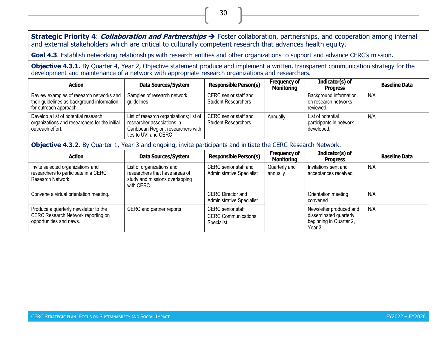**Strategic Priority 4**: **Collaboration and Partnerships** ➔ Foster collaboration, partnerships, and cooperation among internal and external stakeholders which are critical to culturally competent research that advances health equity.

**Goal 4.3**. Establish networking relationships with research entities and other organizations to support and advance CERC's mission.

**Objective 4.3.1.** By Quarter 4, Year 2, Objective statement produce and implement a written, transparent communication strategy for the development and maintenance of a network with appropriate research organizations and researchers.

| <b>Action</b>                                                                                                    | Data Sources/System                                                                                                                                         | <b>Responsible Person(s)</b>                        | <b>Frequency of</b><br><b>Monitoring</b> | Indicator(s) of<br><b>Progress</b>                          | <b>Baseline Data</b> |
|------------------------------------------------------------------------------------------------------------------|-------------------------------------------------------------------------------------------------------------------------------------------------------------|-----------------------------------------------------|------------------------------------------|-------------------------------------------------------------|----------------------|
| Review examples of research networks and<br>their guidelines as background information<br>for outreach approach. | Samples of research network<br>guidelines                                                                                                                   | CERC senior staff and<br><b>Student Researchers</b> |                                          | Background information<br>on research networks<br>reviewed. | N/A                  |
| Develop a list of potential research<br>organizations and researchers for the initial<br>outreach effort.        | List of research organizations; list of   CERC senior staff and<br>researcher associations in<br>Caribbean Region, researchers with<br>ties to UVI and CERC | <b>Student Researchers</b>                          | Annually                                 | List of potential<br>participants in network<br>developed.  | N/A                  |

**Objective 4.3.2.** By Quarter 1, Year 3 and ongoing, invite participants and initiate the CERC Research Network.

| <b>Action</b>                                                                                          | Data Sources/System                                                                                        | <b>Responsible Person(s)</b>                                         | <b>Frequency of</b><br><b>Monitoring</b> | Indicator(s) of<br><b>Progress</b>                                                      | <b>Baseline Data</b> |
|--------------------------------------------------------------------------------------------------------|------------------------------------------------------------------------------------------------------------|----------------------------------------------------------------------|------------------------------------------|-----------------------------------------------------------------------------------------|----------------------|
| Invite selected organizations and<br>researchers to participate in a CERC<br>Research Network.         | List of organizations and<br>researchers that have areas of<br>study and missions overlapping<br>with CERC | CERC senior staff and<br><b>Administrative Specialist</b>            | Quarterly and<br>annually                | Invitations sent and<br>acceptances received.                                           | N/A                  |
| Convene a virtual orientation meeting.                                                                 |                                                                                                            | <b>CERC Director and</b><br><b>Administrative Specialist</b>         |                                          | Orientation meeting<br>convened.                                                        | N/A                  |
| Produce a quarterly newsletter to the<br>CERC Research Network reporting on<br>opportunities and news. | CERC and partner reports                                                                                   | <b>CERC</b> senior staff<br><b>CERC Communications</b><br>Specialist |                                          | Newsletter produced and<br>disseminated quarterly<br>beginning in Quarter 2,<br>Year 3. | N/A                  |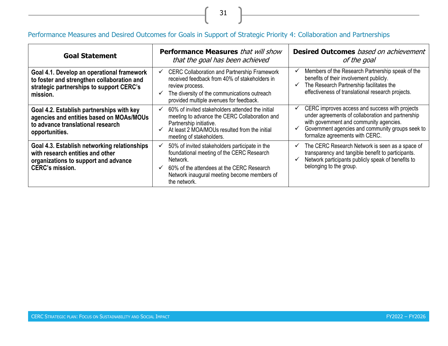# Performance Measures and Desired Outcomes for Goals in Support of Strategic Priority 4: Collaboration and Partnerships

31

<u> 1980 - Johann Barn, mars ar breithinn ar breithinn ar breithinn ar breithinn ar breithinn ar breithinn ar br</u>

| <b>Goal Statement</b>                                                                                                                              | <b>Performance Measures</b> that will show<br>that the goal has been achieved                                                                                                                                                       | <b>Desired Outcomes</b> based on achievement<br>of the goal                                                                                                                                                                           |  |  |
|----------------------------------------------------------------------------------------------------------------------------------------------------|-------------------------------------------------------------------------------------------------------------------------------------------------------------------------------------------------------------------------------------|---------------------------------------------------------------------------------------------------------------------------------------------------------------------------------------------------------------------------------------|--|--|
| Goal 4.1. Develop an operational framework<br>to foster and strengthen collaboration and<br>strategic partnerships to support CERC's<br>mission.   | <b>CERC Collaboration and Partnership Framework</b><br>received feedback from 40% of stakeholders in<br>review process.<br>The diversity of the communications outreach<br>provided multiple avenues for feedback.                  | Members of the Research Partnership speak of the<br>benefits of their involvement publicly.<br>The Research Partnership facilitates the<br>effectiveness of translational research projects.                                          |  |  |
| Goal 4.2. Establish partnerships with key<br>agencies and entities based on MOAs/MOUs<br>to advance translational research<br>opportunities.       | 60% of invited stakeholders attended the initial<br>$\checkmark$<br>meeting to advance the CERC Collaboration and<br>Partnership initiative.<br>At least 2 MOA/MOUs resulted from the initial<br>meeting of stakeholders.           | CERC improves access and success with projects<br>under agreements of collaboration and partnership<br>with government and community agencies.<br>Government agencies and community groups seek to<br>formalize agreements with CERC. |  |  |
| Goal 4.3. Establish networking relationships<br>with research entities and other<br>organizations to support and advance<br><b>CERC's mission.</b> | 50% of invited stakeholders participate in the<br>foundational meeting of the CERC Research<br>Network.<br>60% of the attendees at the CERC Research<br>$\checkmark$<br>Network inaugural meeting become members of<br>the network. | The CERC Research Network is seen as a space of<br>✓<br>transparency and tangible benefit to participants.<br>Network participants publicly speak of benefits to<br>$\checkmark$<br>belonging to the group.                           |  |  |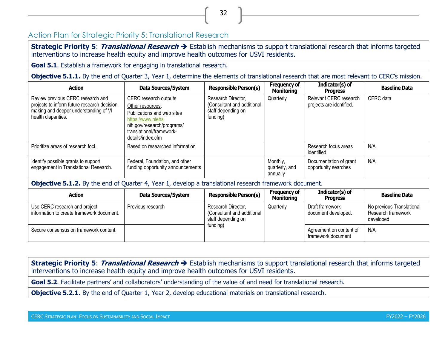# Action Plan for Strategic Priority 5: Translational Research

**Strategic Priority 5**: **Translational Research** ➔ Establish mechanisms to support translational research that informs targeted interventions to increase health equity and improve health outcomes for USVI residents.

32

**Goal 5.1**. Establish a framework for engaging in translational research.

**Objective 5.1.1.** By the end of Quarter 3, Year 1, determine the elements of translational research that are most relevant to CERC's mission.

| <b>Action</b>                                                                                                                                    | Data Sources/System                                                                                                                                                         | <b>Responsible Person(s)</b>                                                       | <b>Frequency of</b><br><b>Monitoring</b> | $Indication(s)$ of<br><b>Progress</b>              | <b>Baseline Data</b> |
|--------------------------------------------------------------------------------------------------------------------------------------------------|-----------------------------------------------------------------------------------------------------------------------------------------------------------------------------|------------------------------------------------------------------------------------|------------------------------------------|----------------------------------------------------|----------------------|
| Review previous CERC research and<br>projects to inform future research decision<br>making and deeper understanding of VI<br>health disparities. | CERC research outputs<br>Other resources:<br>Publications and web sites<br>https://www.niehs<br>nih.gov/research/programs/<br>translational/framework-<br>details/index.cfm | Research Director,<br>(Consultant and additional<br>staff depending on<br>funding) | Quarterly                                | Relevant CERC research<br>projects are identified. | CERC data            |
| Prioritize areas of research foci.                                                                                                               | Based on researched information                                                                                                                                             |                                                                                    |                                          | Research focus areas<br>identified                 | N/A                  |
| Identify possible grants to support<br>engagement in Translational Research.                                                                     | Federal, Foundation, and other<br>funding opportunity announcements                                                                                                         |                                                                                    | Monthly,<br>quarterly, and<br>annually   | Documentation of grant<br>opportunity searches     | N/A                  |

<span id="page-40-0"></span>**Objective 5.1.2.** By the end of Quarter 4, Year 1, develop a translational research framework document.

| <b>Action</b>                                                              | Data Sources/System | <b>Responsible Person(s)</b>                                                       | Frequency of<br><b>Monitoring</b> | Indicator(s) of<br><b>Progress</b>            | <b>Baseline Data</b>                                         |
|----------------------------------------------------------------------------|---------------------|------------------------------------------------------------------------------------|-----------------------------------|-----------------------------------------------|--------------------------------------------------------------|
| Use CERC research and project<br>information to create framework document. | Previous research   | Research Director,<br>(Consultant and additional<br>staff depending on<br>funding) | Quarterly                         | Draft framework<br>document developed.        | No previous Translational<br>Research framework<br>developed |
| Secure consensus on framework content.                                     |                     |                                                                                    |                                   | Agreement on content of<br>framework document | N/A                                                          |

**Strategic Priority 5**: **Translational Research** ➔ Establish mechanisms to support translational research that informs targeted interventions to increase health equity and improve health outcomes for USVI residents.

**Goal 5.2**. Facilitate partners' and collaborators' understanding of the value of and need for translational research.

**Objective 5.2.1.** By the end of Quarter 1, Year 2, develop educational materials on translational research.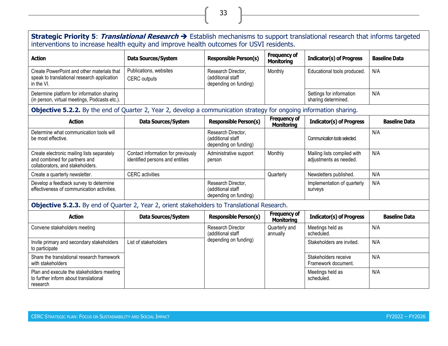#### **Strategic Priority 5**: **Translational Research** ➔ Establish mechanisms to support translational research that informs targeted interventions to increase health equity and improve health outcomes for USVI residents. **Action Data Sources/System Responsible Person(s) Frequency of Monitoring Indicator(s) of Progress Baseline Data** Create PowerPoint and other materials that speak to translational research application in the VI. Publications, websites CERC outputs Research Director, (additional staff depending on funding) Monthly Educational tools produced. N/A Determine platform for information sharing (in person, virtual meetings, Podcasts etc.). Settings for information sharing determined. N/A **Objective 5.2.2.** By the end of Quarter 2, Year 2, develop a communication strategy for ongoing information sharing. **Action Data Sources/System Responsible Person(s) Frequency of Indicator(s) of Progress** Baseline Data Determine what communication tools will be most effective. Research Director, (additional staff depending on funding) Communication tools selected. N/A Create electronic mailing lists separately and combined for partners and collaborators, and stakeholders. Contact information for previously identified persons and entities Administrative support person Monthly Mailing lists compiled with adjustments as needed. N/A Create a quarterly newsletter. CERC activities Quarterly Newsletters published. N/A Develop a feedback survey to determine effectiveness of communication activities. Research Director, (additional staff depending on funding) Implementation of quarterly surveys N/A **Objective 5.2.3.** By end of Quarter 2, Year 2, orient stakeholders to Translational Research. **Action Data Sources/System Responsible Person(s) Frequency of Indicator(s) of Progress Baseline Data** Convene stakeholders meeting **Research Director** Research Director Quarterly and Meetings held as N/A

| Convene stakeholders meeting                                                                   |                      | Research Director<br>(additional staff | Quarterly and<br>annually | Meetings held as<br>scheduled.              | N/A |
|------------------------------------------------------------------------------------------------|----------------------|----------------------------------------|---------------------------|---------------------------------------------|-----|
| Invite primary and secondary stakeholders<br>to participate                                    | List of stakeholders | depending on funding)                  |                           | Stakeholders are invited.                   | N/A |
| Share the translational research framework<br>with stakeholders                                |                      |                                        |                           | Stakeholders receive<br>Framework document. | N/A |
| Plan and execute the stakeholders meeting<br>to further inform about translational<br>research |                      |                                        |                           | Meetings held as<br>scheduled.              | N/A |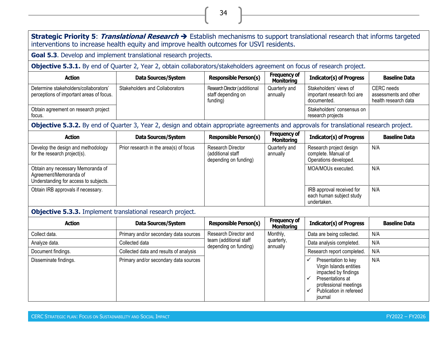#### **Strategic Priority 5**: **Translational Research** ➔ Establish mechanisms to support translational research that informs targeted interventions to increase health equity and improve health outcomes for USVI residents.

**Goal 5.3**. Develop and implement translational research projects.

**Objective 5.3.1.** By end of Quarter 2, Year 2, obtain collaborators/stakeholders agreement on focus of research project.

| <b>Action</b>                                                                     | Data Sources/System            | <b>Responsible Person(s)</b>                                    | <b>Frequency of</b><br><b>Monitoring</b> | <b>Indicator(s) of Progress</b>                                      | <b>Baseline Data</b>                                               |
|-----------------------------------------------------------------------------------|--------------------------------|-----------------------------------------------------------------|------------------------------------------|----------------------------------------------------------------------|--------------------------------------------------------------------|
| Determine stakeholders/collaborators'<br>perceptions of important areas of focus. | Stakeholders and Collaborators | Research Director (additional<br>staff depending on<br>funding) | Quarterly and<br>annually                | Stakeholders' views of<br>important research foci are<br>documented. | <b>CERC</b> needs<br>assessments and other<br>health research data |
| Obtain agreement on research project<br>focus.                                    |                                |                                                                 |                                          | Stakeholders' consensus on<br>research projects                      |                                                                    |

**Objective 5.3.2.** By end of Quarter 3, Year 2, design and obtain appropriate agreements and approvals for translational research project.

| <b>Action</b>                                                                                        | Data Sources/System                    | <b>Responsible Person(s)</b>                                    | <b>Frequency of</b><br><b>Monitoring</b> | <b>Indicator(s) of Progress</b>                                         | <b>Baseline Data</b> |
|------------------------------------------------------------------------------------------------------|----------------------------------------|-----------------------------------------------------------------|------------------------------------------|-------------------------------------------------------------------------|----------------------|
| Develop the design and methodology<br>for the research project(s).                                   | Prior research in the area(s) of focus | Research Director<br>(additional staff<br>depending on funding) | Quarterly and<br>annually                | Research project design<br>complete. Manual of<br>Operations developed. | N/A                  |
| Obtain any necessary Memoranda of<br>Agreement/Memoranda of<br>Understanding for access to subjects. |                                        |                                                                 |                                          | MOA/MOUs executed.                                                      | N/A                  |
| Obtain IRB approvals if necessary.                                                                   |                                        |                                                                 |                                          | IRB approval received for<br>each human subject study<br>undertaken.    | N/A                  |

## **Objective 5.3.3.** Implement translational research project.

| <b>Action</b>         | Data Sources/System                    | <b>Responsible Person(s)</b>                    | <b>Frequency of</b><br>Monitoring | <b>Indicator(s) of Progress</b>                                                                                                                           | <b>Baseline Data</b> |
|-----------------------|----------------------------------------|-------------------------------------------------|-----------------------------------|-----------------------------------------------------------------------------------------------------------------------------------------------------------|----------------------|
| Collect data.         | Primary and/or secondary data sources  | Research Director and                           | Monthly,                          | Data are being collected.                                                                                                                                 | N/A                  |
| Analyze data.         | Collected data                         | team (additional staff<br>depending on funding) | quarterly,<br>annually            | Data analysis completed.                                                                                                                                  | N/A                  |
| Document findings.    | Collected data and results of analysis |                                                 |                                   | Research report completed.                                                                                                                                | N/A                  |
| Disseminate findings. | Primary and/or secondary data sources  |                                                 |                                   | Presentation to key<br>Virgin Islands entities<br>impacted by findings<br>Presentations at<br>professional meetings<br>Publication in refereed<br>journal | N/A                  |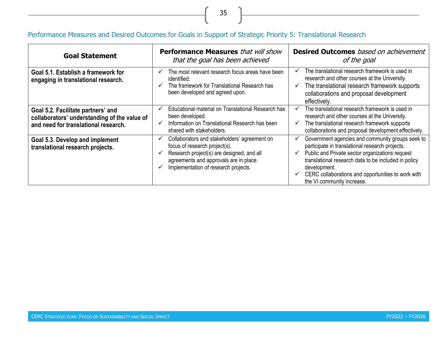# Performance Measures and Desired Outcomes for Goals in Support of Strategic Priority 5: Translational Research

| <b>Goal Statement</b>                                                                                                      | <b>Performance Measures</b> that will show<br>that the goal has been achieved                                                                                                                                     | <b>Desired Outcomes</b> based on achievement<br>of the goal                                                                                                                                                                                                                                                        |  |  |
|----------------------------------------------------------------------------------------------------------------------------|-------------------------------------------------------------------------------------------------------------------------------------------------------------------------------------------------------------------|--------------------------------------------------------------------------------------------------------------------------------------------------------------------------------------------------------------------------------------------------------------------------------------------------------------------|--|--|
| Goal 5.1. Establish a framework for<br>engaging in translational research.                                                 | The most relevant research focus areas have been<br>$\checkmark$<br>identified.<br>The framework for Translational Research has<br>been developed and agreed upon.                                                | The translational research framework is used in<br>research and other courses at the University.<br>The translational research framework supports<br>collaborations and proposal development<br>effectively.                                                                                                       |  |  |
| Goal 5.2. Facilitate partners' and<br>collaborators' understanding of the value of<br>and need for translational research. | Educational material on Translational Research has<br>been developed.<br>Information on Translational Research has been<br>shared with stakeholders.                                                              | The translational research framework is used in<br>✓<br>research and other courses at the University.<br>The translational research framework supports<br>collaborations and proposal development effectively.                                                                                                     |  |  |
| Goal 5.3. Develop and implement<br>translational research projects.                                                        | Collaborators and stakeholders' agreement on<br>✓<br>focus of research project(s).<br>Research project(s) are designed, and all<br>agreements and approvals are in place.<br>Implementation of research projects. | Government agencies and community groups seek to<br>participate in translational research projects.<br>Public and Private sector organizations request<br>translational research data to be included in policy<br>development.<br>CERC collaborations and opportunities to work with<br>the VI community increase. |  |  |

35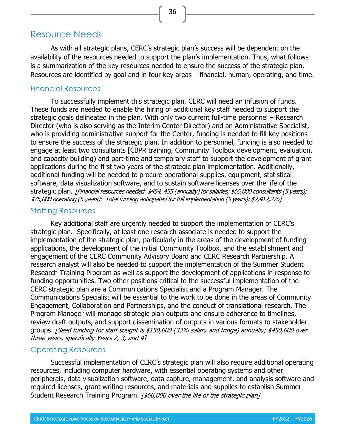# <span id="page-44-0"></span>Resource Needs

As with all strategic plans, CERC's strategic plan's success will be dependent on the availability of the resources needed to support the plan's implementation. Thus, what follows is a summarization of the key resources needed to ensure the success of the strategic plan. Resources are identified by goal and in four key areas – financial, human, operating, and time.

36

#### <span id="page-44-1"></span>Financial Resources

To successfully implement this strategic plan, CERC will need an infusion of funds. These funds are needed to enable the hiring of additional key staff needed to support the strategic goals delineated in the plan. With only two current full-time personnel – Research Director (who is also serving as the Interim Center Director) and an Administrative Specialist, who is providing administrative support for the Center, funding is needed to fill key positions to ensure the success of the strategic plan. In addition to personnel, funding is also needed to engage at least two consultants [CBPR training, Community Toolbox development, evaluation, and capacity building) and part-time and temporary staff to support the development of grant applications during the first two years of the strategic plan implementation. Additionally, additional funding will be needed to procure operational supplies, equipment, statistical software, data visualization software, and to sustain software licenses over the life of the strategic plan. [Financial resources needed: \$454, 455 (annually) for salaries; \$65,000 consultants (5 years); \$75,000 operating (5 years): Total funding anticipated for full implementation (5 years): \$2,412,275]

#### <span id="page-44-2"></span>Staffing Resources

Key additional staff are urgently needed to support the implementation of CERC's strategic plan. Specifically, at least one research associate is needed to support the implementation of the strategic plan, particularly in the areas of the development of funding applications, the development of the initial Community Toolbox, and the establishment and engagement of the CERC Community Advisory Board and CERC Research Partnership. A research analyst will also be needed to support the implementation of the Summer Student Research Training Program as well as support the development of applications in response to funding opportunities. Two other positions critical to the successful implementation of the CERC strategic plan are a Communications Specialist and a Program Manager. The Communications Specialist will be essential to the work to be done in the areas of Community Engagement, Collaboration and Partnerships, and the conduct of translational research. The Program Manager will manage strategic plan outputs and ensure adherence to timelines, review draft outputs, and support dissemination of outputs in various formats to stakeholder groups. [Seed funding for staff sought is \$150,000 (33% salary and fringe) annually; \$450,000 over three years, specifically Years 2, 3, and 4]

## <span id="page-44-3"></span>Operating Resources

Successful implementation of CERC's strategic plan will also require additional operating resources, including computer hardware, with essential operating systems and other peripherals, data visualization software, data capture, management, and analysis software and required licenses, grant writing resources, and materials and supplies to establish Summer Student Research Training Program. [\$60,000 over the life of the strategic plan]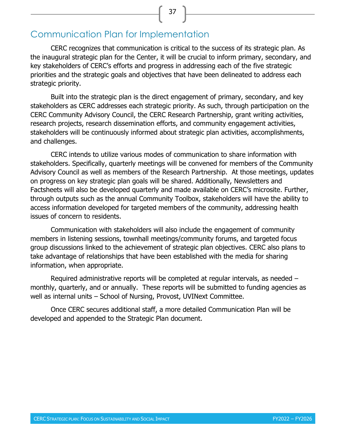# <span id="page-45-0"></span>Communication Plan for Implementation

CERC recognizes that communication is critical to the success of its strategic plan. As the inaugural strategic plan for the Center, it will be crucial to inform primary, secondary, and key stakeholders of CERC's efforts and progress in addressing each of the five strategic priorities and the strategic goals and objectives that have been delineated to address each strategic priority.

37

Built into the strategic plan is the direct engagement of primary, secondary, and key stakeholders as CERC addresses each strategic priority. As such, through participation on the CERC Community Advisory Council, the CERC Research Partnership, grant writing activities, research projects, research dissemination efforts, and community engagement activities, stakeholders will be continuously informed about strategic plan activities, accomplishments, and challenges.

CERC intends to utilize various modes of communication to share information with stakeholders. Specifically, quarterly meetings will be convened for members of the Community Advisory Council as well as members of the Research Partnership. At those meetings, updates on progress on key strategic plan goals will be shared. Additionally, Newsletters and Factsheets will also be developed quarterly and made available on CERC's microsite. Further, through outputs such as the annual Community Toolbox, stakeholders will have the ability to access information developed for targeted members of the community, addressing health issues of concern to residents.

Communication with stakeholders will also include the engagement of community members in listening sessions, townhall meetings/community forums, and targeted focus group discussions linked to the achievement of strategic plan objectives. CERC also plans to take advantage of relationships that have been established with the media for sharing information, when appropriate.

Required administrative reports will be completed at regular intervals, as needed – monthly, quarterly, and or annually. These reports will be submitted to funding agencies as well as internal units – School of Nursing, Provost, UVINext Committee.

Once CERC secures additional staff, a more detailed Communication Plan will be developed and appended to the Strategic Plan document.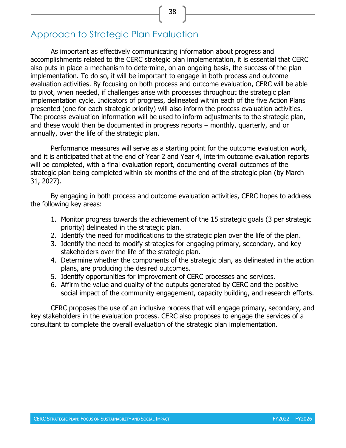# <span id="page-46-0"></span>Approach to Strategic Plan Evaluation

As important as effectively communicating information about progress and accomplishments related to the CERC strategic plan implementation, it is essential that CERC also puts in place a mechanism to determine, on an ongoing basis, the success of the plan implementation. To do so, it will be important to engage in both process and outcome evaluation activities. By focusing on both process and outcome evaluation, CERC will be able to pivot, when needed, if challenges arise with processes throughout the strategic plan implementation cycle. Indicators of progress, delineated within each of the five Action Plans presented (one for each strategic priority) will also inform the process evaluation activities. The process evaluation information will be used to inform adjustments to the strategic plan, and these would then be documented in progress reports – monthly, quarterly, and or annually, over the life of the strategic plan.

Performance measures will serve as a starting point for the outcome evaluation work, and it is anticipated that at the end of Year 2 and Year 4, interim outcome evaluation reports will be completed, with a final evaluation report, documenting overall outcomes of the strategic plan being completed within six months of the end of the strategic plan (by March 31, 2027).

By engaging in both process and outcome evaluation activities, CERC hopes to address the following key areas:

- 1. Monitor progress towards the achievement of the 15 strategic goals (3 per strategic priority) delineated in the strategic plan.
- 2. Identify the need for modifications to the strategic plan over the life of the plan.
- 3. Identify the need to modify strategies for engaging primary, secondary, and key stakeholders over the life of the strategic plan.
- 4. Determine whether the components of the strategic plan, as delineated in the action plans, are producing the desired outcomes.
- 5. Identify opportunities for improvement of CERC processes and services.
- 6. Affirm the value and quality of the outputs generated by CERC and the positive social impact of the community engagement, capacity building, and research efforts.

CERC proposes the use of an inclusive process that will engage primary, secondary, and key stakeholders in the evaluation process. CERC also proposes to engage the services of a consultant to complete the overall evaluation of the strategic plan implementation.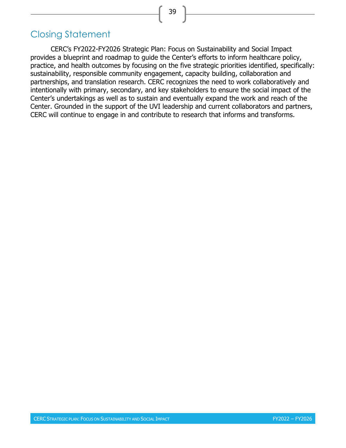# <span id="page-47-0"></span>Closing Statement

CERC's FY2022-FY2026 Strategic Plan: Focus on Sustainability and Social Impact provides a blueprint and roadmap to guide the Center's efforts to inform healthcare policy, practice, and health outcomes by focusing on the five strategic priorities identified, specifically: sustainability, responsible community engagement, capacity building, collaboration and partnerships, and translation research. CERC recognizes the need to work collaboratively and intentionally with primary, secondary, and key stakeholders to ensure the social impact of the Center's undertakings as well as to sustain and eventually expand the work and reach of the Center. Grounded in the support of the UVI leadership and current collaborators and partners, CERC will continue to engage in and contribute to research that informs and transforms.